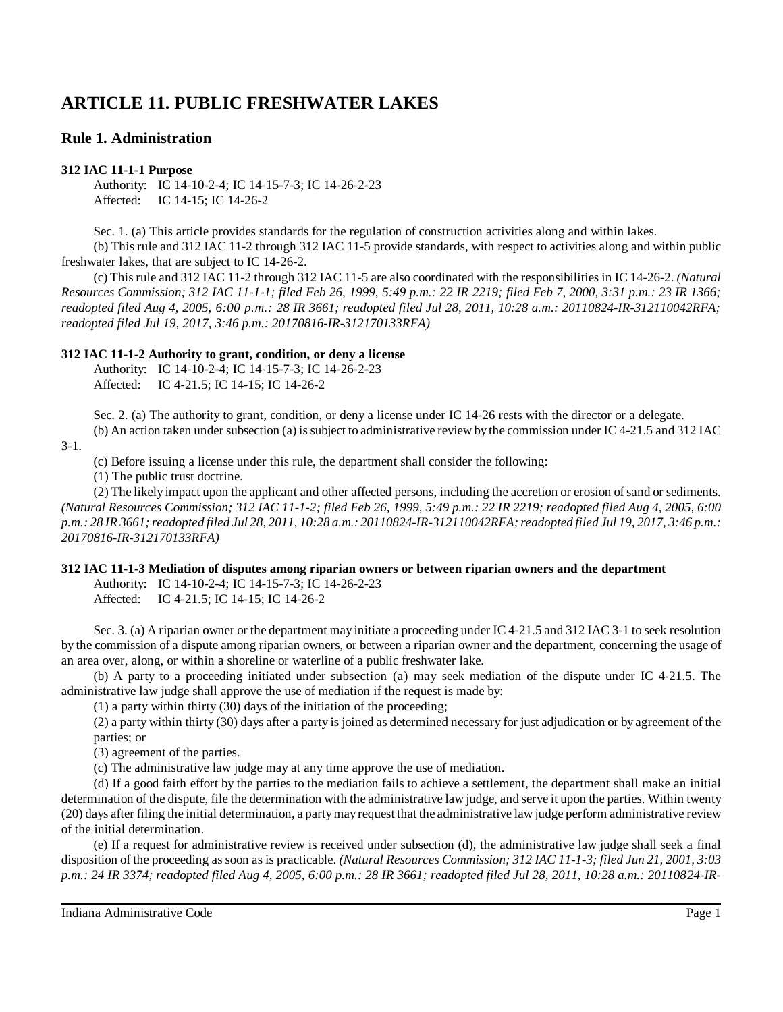# **ARTICLE 11. PUBLIC FRESHWATER LAKES**

# **Rule 1. Administration**

### **312 IAC 11-1-1 Purpose**

Authority: IC 14-10-2-4; IC 14-15-7-3; IC 14-26-2-23 Affected: IC 14-15; IC 14-26-2

Sec. 1. (a) This article provides standards for the regulation of construction activities along and within lakes. (b) This rule and 312 IAC 11-2 through 312 IAC 11-5 provide standards, with respect to activities along and within public freshwater lakes, that are subject to IC 14-26-2.

(c) Thisrule and 312 IAC 11-2 through 312 IAC 11-5 are also coordinated with the responsibilities in IC 14-26-2. *(Natural Resources Commission; 312 IAC 11-1-1; filed Feb 26, 1999, 5:49 p.m.: 22 IR 2219; filed Feb 7, 2000, 3:31 p.m.: 23 IR 1366; readopted filed Aug 4, 2005, 6:00 p.m.: 28 IR 3661; readopted filed Jul 28, 2011, 10:28 a.m.: 20110824-IR-312110042RFA; readopted filed Jul 19, 2017, 3:46 p.m.: 20170816-IR-312170133RFA)*

### **312 IAC 11-1-2 Authority to grant, condition, or deny a license**

Authority: IC 14-10-2-4; IC 14-15-7-3; IC 14-26-2-23 Affected: IC 4-21.5; IC 14-15; IC 14-26-2

Sec. 2. (a) The authority to grant, condition, or deny a license under IC 14-26 rests with the director or a delegate.

(b) An action taken under subsection (a) issubject to administrative review by the commission under IC 4-21.5 and 312 IAC

3-1.

(c) Before issuing a license under this rule, the department shall consider the following:

(1) The public trust doctrine.

(2) The likely impact upon the applicant and other affected persons, including the accretion or erosion ofsand or sediments. (Natural Resources Commission; 312 IAC 11-1-2; filed Feb 26, 1999, 5:49 p.m.; 22 IR 2219; readopted filed Aug 4, 2005, 6:00 p.m.: 28 IR 3661; readopted filed Jul 28, 2011, 10:28 a.m.: 20110824-IR-312110042RFA; readopted filed Jul 19, 2017, 3:46 p.m.: *20170816-IR-312170133RFA)*

### **312 IAC 11-1-3 Mediation of disputes among riparian owners or between riparian owners and the department**

Authority: IC 14-10-2-4; IC 14-15-7-3; IC 14-26-2-23 Affected: IC 4-21.5; IC 14-15; IC 14-26-2

Sec. 3. (a) A riparian owner or the department may initiate a proceeding under IC 4-21.5 and 312 IAC 3-1 to seek resolution by the commission of a dispute among riparian owners, or between a riparian owner and the department, concerning the usage of an area over, along, or within a shoreline or waterline of a public freshwater lake.

(b) A party to a proceeding initiated under subsection (a) may seek mediation of the dispute under IC 4-21.5. The administrative law judge shall approve the use of mediation if the request is made by:

(1) a party within thirty (30) days of the initiation of the proceeding;

(2) a party within thirty (30) days after a party is joined as determined necessary for just adjudication or by agreement of the parties; or

(3) agreement of the parties.

(c) The administrative law judge may at any time approve the use of mediation.

(d) If a good faith effort by the parties to the mediation fails to achieve a settlement, the department shall make an initial determination of the dispute, file the determination with the administrative law judge, and serve it upon the parties. Within twenty (20) days after filing the initial determination, a partymayrequest that the administrative law judge perform administrative review of the initial determination.

(e) If a request for administrative review is received under subsection (d), the administrative law judge shall seek a final disposition of the proceeding as soon as is practicable. *(Natural Resources Commission; 312 IAC 11-1-3; filed Jun 21, 2001, 3:03 p.m.: 24 IR 3374; readopted filed Aug 4, 2005, 6:00 p.m.: 28 IR 3661; readopted filed Jul 28, 2011, 10:28 a.m.: 20110824-IR-*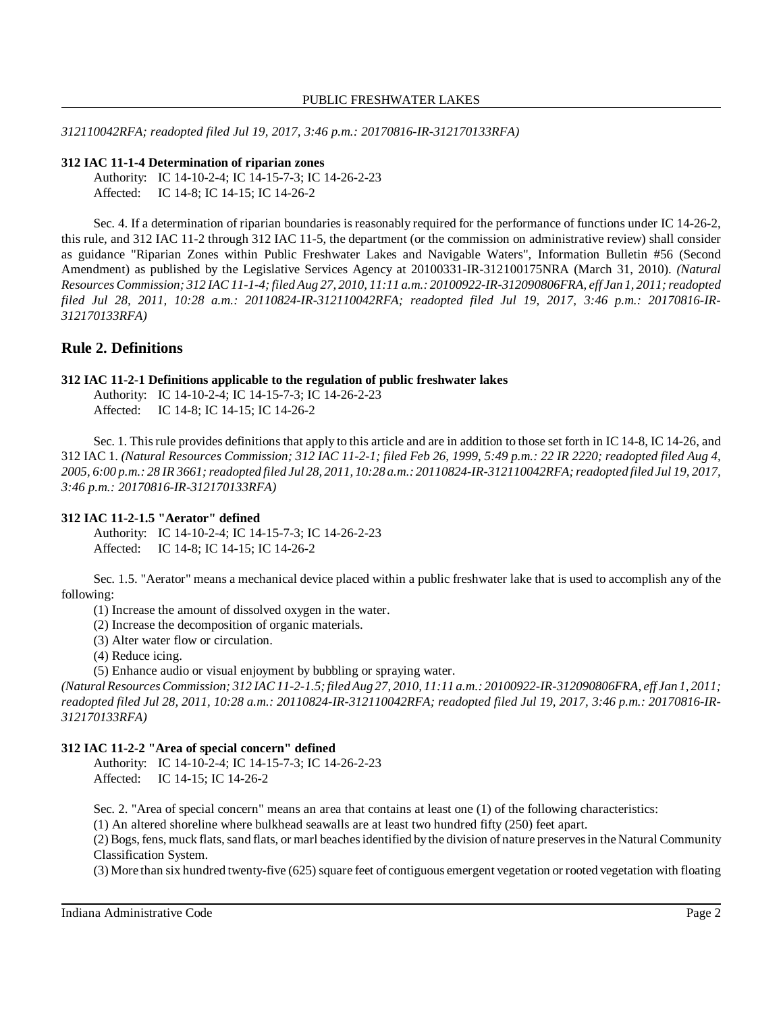*312110042RFA; readopted filed Jul 19, 2017, 3:46 p.m.: 20170816-IR-312170133RFA)*

#### **312 IAC 11-1-4 Determination of riparian zones**

Authority: IC 14-10-2-4; IC 14-15-7-3; IC 14-26-2-23 Affected: IC 14-8; IC 14-15; IC 14-26-2

Sec. 4. If a determination of riparian boundaries is reasonably required for the performance of functions under IC 14-26-2, this rule, and 312 IAC 11-2 through 312 IAC 11-5, the department (or the commission on administrative review) shall consider as guidance "Riparian Zones within Public Freshwater Lakes and Navigable Waters", Information Bulletin #56 (Second Amendment) as published by the Legislative Services Agency at 20100331-IR-312100175NRA (March 31, 2010). *(Natural* Resources Commission; 312 IAC 11-1-4; filed Aug 27, 2010, 11:11 a.m.: 20100922-IR-312090806FRA, eff Jan 1, 2011; readopted *filed Jul 28, 2011, 10:28 a.m.: 20110824-IR-312110042RFA; readopted filed Jul 19, 2017, 3:46 p.m.: 20170816-IR-312170133RFA)*

### **Rule 2. Definitions**

#### **312 IAC 11-2-1 Definitions applicable to the regulation of public freshwater lakes**

Authority: IC 14-10-2-4; IC 14-15-7-3; IC 14-26-2-23 Affected: IC 14-8; IC 14-15; IC 14-26-2

Sec. 1. Thisrule provides definitions that apply to this article and are in addition to those set forth in IC 14-8, IC 14-26, and 312 IAC 1. (Natural Resources Commission; 312 IAC 11-2-1; filed Feb 26, 1999, 5:49 p.m.: 22 IR 2220; readopted filed Aug 4, 2005, 6:00 p.m.: 28 IR 3661; readopted filed Jul 28, 2011, 10:28 a.m.: 20110824-IR-312110042RFA; readopted filed Jul 19, 2017, *3:46 p.m.: 20170816-IR-312170133RFA)*

#### **312 IAC 11-2-1.5 "Aerator" defined**

Authority: IC 14-10-2-4; IC 14-15-7-3; IC 14-26-2-23 Affected: IC 14-8; IC 14-15; IC 14-26-2

Sec. 1.5. "Aerator" means a mechanical device placed within a public freshwater lake that is used to accomplish any of the following:

(1) Increase the amount of dissolved oxygen in the water.

(2) Increase the decomposition of organic materials.

(3) Alter water flow or circulation.

(4) Reduce icing.

(5) Enhance audio or visual enjoyment by bubbling or spraying water.

*(Natural ResourcesCommission; 312 IAC11-2-1.5;filedAug 27, 2010, 11:11 a.m.: 20100922-IR-312090806FRA, eff Jan 1, 2011; readopted filed Jul 28, 2011, 10:28 a.m.: 20110824-IR-312110042RFA; readopted filed Jul 19, 2017, 3:46 p.m.: 20170816-IR-312170133RFA)*

#### **312 IAC 11-2-2 "Area of special concern" defined**

Authority: IC 14-10-2-4; IC 14-15-7-3; IC 14-26-2-23 Affected: IC 14-15; IC 14-26-2

Sec. 2. "Area of special concern" means an area that contains at least one (1) of the following characteristics:

(1) An altered shoreline where bulkhead seawalls are at least two hundred fifty (250) feet apart.

(2) Bogs, fens, muck flats,sand flats, or marl beachesidentified by the division of nature preservesin the Natural Community Classification System.

(3) More than six hundred twenty-five (625) square feet of contiguous emergent vegetation or rooted vegetation with floating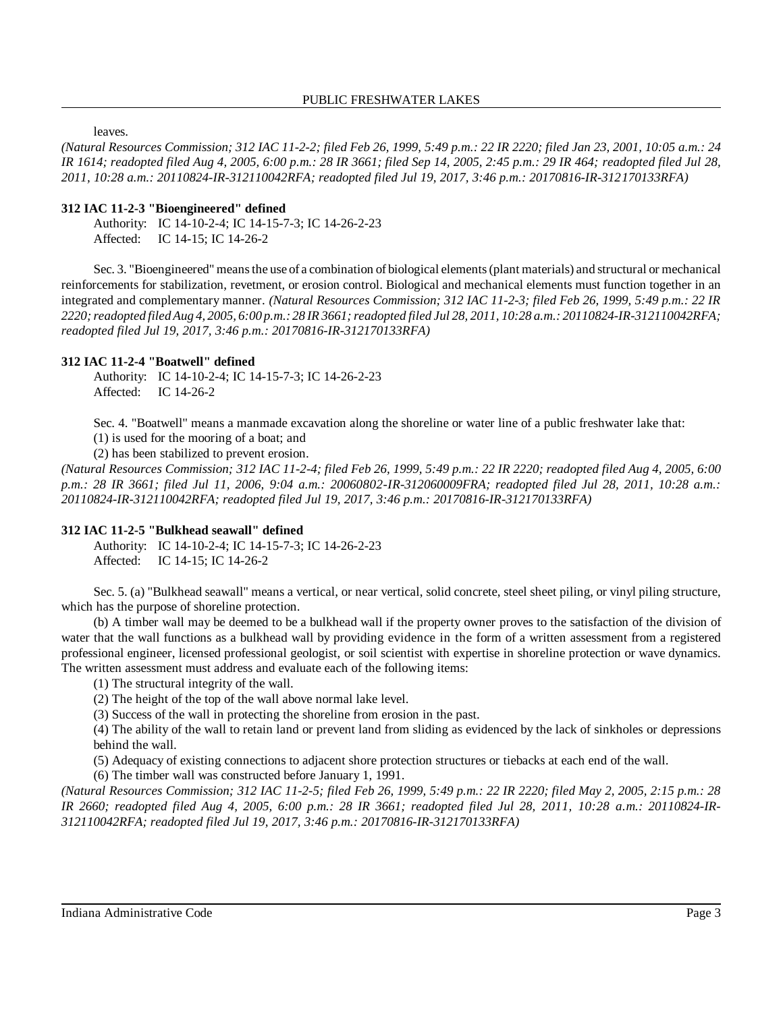leaves.

(Natural Resources Commission; 312 IAC 11-2-2; filed Feb 26, 1999, 5:49 p.m.: 22 IR 2220; filed Jan 23, 2001, 10:05 a.m.: 24 *IR 1614; readopted filed Aug 4, 2005, 6:00 p.m.: 28 IR 3661; filed Sep 14, 2005, 2:45 p.m.: 29 IR 464; readopted filed Jul 28, 2011, 10:28 a.m.: 20110824-IR-312110042RFA; readopted filed Jul 19, 2017, 3:46 p.m.: 20170816-IR-312170133RFA)*

### **312 IAC 11-2-3 "Bioengineered" defined**

Authority: IC 14-10-2-4; IC 14-15-7-3; IC 14-26-2-23 Affected: IC 14-15; IC 14-26-2

Sec. 3. "Bioengineered" meansthe use of a combination of biological elements(plant materials) and structural or mechanical reinforcements for stabilization, revetment, or erosion control. Biological and mechanical elements must function together in an integrated and complementary manner. *(Natural Resources Commission; 312 IAC 11-2-3; filed Feb 26, 1999, 5:49 p.m.: 22 IR* 2220; readopted filed Aug 4, 2005, 6:00 p.m.: 28 IR 3661; readopted filed Jul 28, 2011, 10:28 a.m.: 20110824-IR-312110042RFA; *readopted filed Jul 19, 2017, 3:46 p.m.: 20170816-IR-312170133RFA)*

#### **312 IAC 11-2-4 "Boatwell" defined**

Authority: IC 14-10-2-4; IC 14-15-7-3; IC 14-26-2-23 Affected: IC 14-26-2

Sec. 4. "Boatwell" means a manmade excavation along the shoreline or water line of a public freshwater lake that: (1) is used for the mooring of a boat; and

(2) has been stabilized to prevent erosion.

(Natural Resources Commission; 312 IAC 11-2-4; filed Feb 26, 1999, 5:49 p.m.: 22 IR 2220; readopted filed Aug 4, 2005, 6:00 *p.m.: 28 IR 3661; filed Jul 11, 2006, 9:04 a.m.: 20060802-IR-312060009FRA; readopted filed Jul 28, 2011, 10:28 a.m.: 20110824-IR-312110042RFA; readopted filed Jul 19, 2017, 3:46 p.m.: 20170816-IR-312170133RFA)*

### **312 IAC 11-2-5 "Bulkhead seawall" defined**

Authority: IC 14-10-2-4; IC 14-15-7-3; IC 14-26-2-23 Affected: IC 14-15; IC 14-26-2

Sec. 5. (a) "Bulkhead seawall" means a vertical, or near vertical, solid concrete, steel sheet piling, or vinyl piling structure, which has the purpose of shoreline protection.

(b) A timber wall may be deemed to be a bulkhead wall if the property owner proves to the satisfaction of the division of water that the wall functions as a bulkhead wall by providing evidence in the form of a written assessment from a registered professional engineer, licensed professional geologist, or soil scientist with expertise in shoreline protection or wave dynamics. The written assessment must address and evaluate each of the following items:

(1) The structural integrity of the wall.

(2) The height of the top of the wall above normal lake level.

(3) Success of the wall in protecting the shoreline from erosion in the past.

(4) The ability of the wall to retain land or prevent land from sliding as evidenced by the lack of sinkholes or depressions behind the wall.

(5) Adequacy of existing connections to adjacent shore protection structures or tiebacks at each end of the wall.

(6) The timber wall was constructed before January 1, 1991.

*(Natural Resources Commission; 312 IAC 11-2-5; filed Feb 26, 1999, 5:49 p.m.: 22 IR 2220; filed May 2, 2005, 2:15 p.m.: 28* IR 2660; readopted filed Aug 4, 2005, 6:00 p.m.: 28 IR 3661; readopted filed Jul 28, 2011, 10:28 a.m.: 20110824-IR-*312110042RFA; readopted filed Jul 19, 2017, 3:46 p.m.: 20170816-IR-312170133RFA)*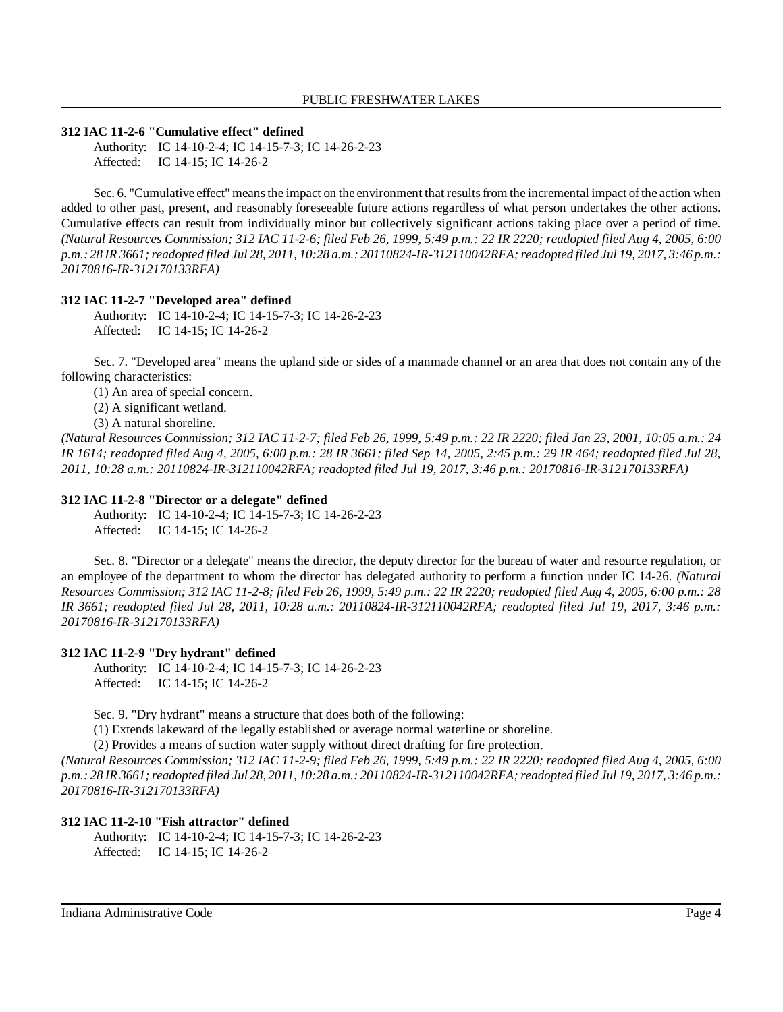#### **312 IAC 11-2-6 "Cumulative effect" defined**

Authority: IC 14-10-2-4; IC 14-15-7-3; IC 14-26-2-23 Affected: IC 14-15; IC 14-26-2

Sec. 6. "Cumulative effect" means the impact on the environment that results from the incremental impact of the action when added to other past, present, and reasonably foreseeable future actions regardless of what person undertakes the other actions. Cumulative effects can result from individually minor but collectively significant actions taking place over a period of time. (Natural Resources Commission; 312 IAC 11-2-6; filed Feb 26, 1999, 5:49 p.m.: 22 IR 2220; readopted filed Aug 4, 2005, 6:00 p.m.: 28 IR 3661; readopted filed Jul 28, 2011, 10:28 a.m.: 20110824-IR-312110042RFA; readopted filed Jul 19, 2017, 3:46 p.m.: *20170816-IR-312170133RFA)*

#### **312 IAC 11-2-7 "Developed area" defined**

Authority: IC 14-10-2-4; IC 14-15-7-3; IC 14-26-2-23 Affected: IC 14-15; IC 14-26-2

Sec. 7. "Developed area" means the upland side or sides of a manmade channel or an area that does not contain any of the following characteristics:

- (1) An area of special concern.
- (2) A significant wetland.
- (3) A natural shoreline.

(Natural Resources Commission; 312 IAC 11-2-7; filed Feb 26, 1999, 5:49 p.m.: 22 IR 2220; filed Jan 23, 2001, 10:05 a.m.: 24 *IR 1614; readopted filed Aug 4, 2005, 6:00 p.m.: 28 IR 3661; filed Sep 14, 2005, 2:45 p.m.: 29 IR 464; readopted filed Jul 28, 2011, 10:28 a.m.: 20110824-IR-312110042RFA; readopted filed Jul 19, 2017, 3:46 p.m.: 20170816-IR-312170133RFA)*

### **312 IAC 11-2-8 "Director or a delegate" defined**

Authority: IC 14-10-2-4; IC 14-15-7-3; IC 14-26-2-23 Affected: IC 14-15; IC 14-26-2

Sec. 8. "Director or a delegate" means the director, the deputy director for the bureau of water and resource regulation, or an employee of the department to whom the director has delegated authority to perform a function under IC 14-26. *(Natural Resources Commission; 312 IAC 11-2-8; filed Feb 26, 1999, 5:49 p.m.: 22 IR 2220; readopted filed Aug 4, 2005, 6:00 p.m.: 28 IR 3661; readopted filed Jul 28, 2011, 10:28 a.m.: 20110824-IR-312110042RFA; readopted filed Jul 19, 2017, 3:46 p.m.: 20170816-IR-312170133RFA)*

#### **312 IAC 11-2-9 "Dry hydrant" defined**

Authority: IC 14-10-2-4; IC 14-15-7-3; IC 14-26-2-23 Affected: IC 14-15; IC 14-26-2

Sec. 9. "Dry hydrant" means a structure that does both of the following:

(1) Extends lakeward of the legally established or average normal waterline or shoreline.

(2) Provides a means of suction water supply without direct drafting for fire protection.

(Natural Resources Commission; 312 IAC 11-2-9; filed Feb 26, 1999, 5:49 p.m.: 22 IR 2220; readopted filed Aug 4, 2005, 6:00 p.m.: 28 IR 3661; readopted filed Jul 28, 2011, 10:28 a.m.: 20110824-IR-312110042RFA; readopted filed Jul 19, 2017, 3:46 p.m.: *20170816-IR-312170133RFA)*

### **312 IAC 11-2-10 "Fish attractor" defined**

Authority: IC 14-10-2-4; IC 14-15-7-3; IC 14-26-2-23 Affected: IC 14-15; IC 14-26-2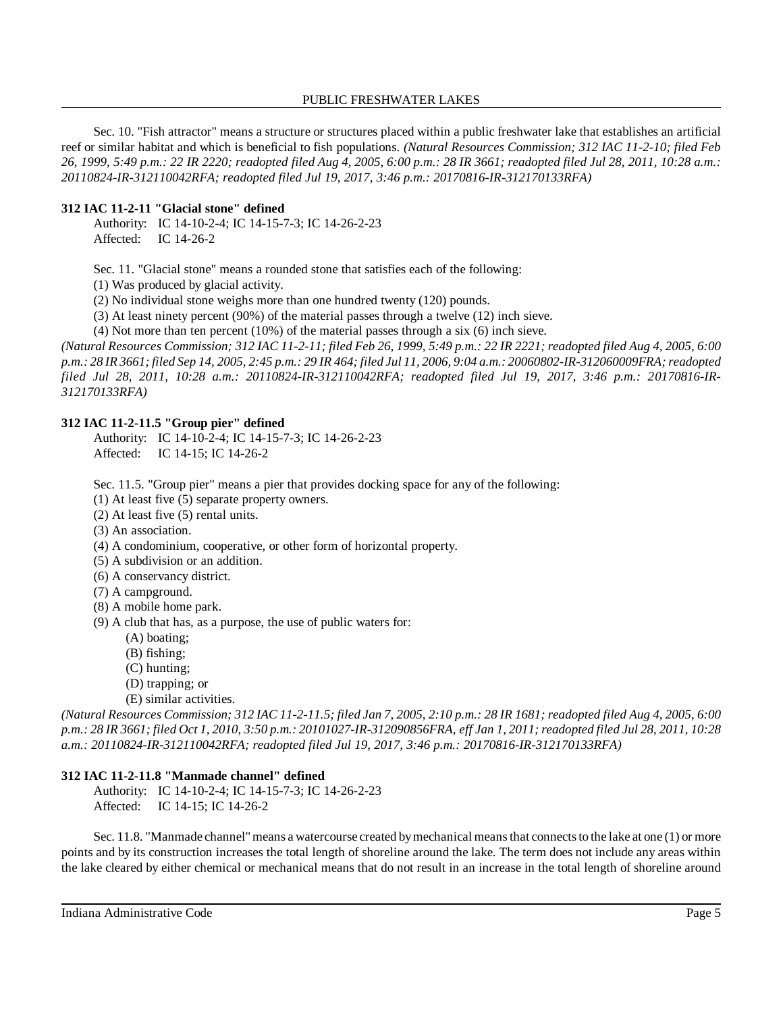Sec. 10. "Fish attractor" means a structure or structures placed within a public freshwater lake that establishes an artificial reef or similar habitat and which is beneficial to fish populations. *(Natural Resources Commission; 312 IAC 11-2-10; filed Feb 26, 1999, 5:49 p.m.: 22 IR 2220; readopted filed Aug 4, 2005, 6:00 p.m.: 28 IR 3661; readopted filed Jul 28, 2011, 10:28 a.m.: 20110824-IR-312110042RFA; readopted filed Jul 19, 2017, 3:46 p.m.: 20170816-IR-312170133RFA)*

### **312 IAC 11-2-11 "Glacial stone" defined**

Authority: IC 14-10-2-4; IC 14-15-7-3; IC 14-26-2-23 Affected: IC 14-26-2

Sec. 11. "Glacial stone" means a rounded stone that satisfies each of the following:

(1) Was produced by glacial activity.

(2) No individual stone weighs more than one hundred twenty (120) pounds.

(3) At least ninety percent (90%) of the material passes through a twelve (12) inch sieve.

(4) Not more than ten percent (10%) of the material passes through a six (6) inch sieve.

(Natural Resources Commission; 312 IAC 11-2-11; filed Feb 26, 1999, 5:49 p.m.: 22 IR 2221; readopted filed Aug 4, 2005, 6:00 p.m.: 28 IR 3661; filed Sep 14, 2005, 2:45 p.m.: 29 IR 464; filed Jul 11, 2006, 9:04 a.m.: 20060802-IR-312060009FRA; readopted *filed Jul 28, 2011, 10:28 a.m.: 20110824-IR-312110042RFA; readopted filed Jul 19, 2017, 3:46 p.m.: 20170816-IR-312170133RFA)*

### **312 IAC 11-2-11.5 "Group pier" defined**

Authority: IC 14-10-2-4; IC 14-15-7-3; IC 14-26-2-23 Affected: IC 14-15; IC 14-26-2

Sec. 11.5. "Group pier" means a pier that provides docking space for any of the following:

(1) At least five (5) separate property owners.

(2) At least five (5) rental units.

(3) An association.

(4) A condominium, cooperative, or other form of horizontal property.

- (5) A subdivision or an addition.
- (6) A conservancy district.
- (7) A campground.
- (8) A mobile home park.
- (9) A club that has, as a purpose, the use of public waters for:
	- (A) boating;
	- (B) fishing;
	- (C) hunting;
	- (D) trapping; or
	- (E) similar activities.

(Natural Resources Commission; 312 IAC 11-2-11.5; filed Jan 7, 2005, 2:10 p.m.: 28 IR 1681; readopted filed Aug 4, 2005, 6:00 p.m.: 28 IR 3661; filed Oct 1, 2010, 3:50 p.m.: 20101027-IR-312090856FRA, eff Jan 1, 2011; readopted filed Jul 28, 2011, 10:28 *a.m.: 20110824-IR-312110042RFA; readopted filed Jul 19, 2017, 3:46 p.m.: 20170816-IR-312170133RFA)*

### **312 IAC 11-2-11.8 "Manmade channel" defined**

Authority: IC 14-10-2-4; IC 14-15-7-3; IC 14-26-2-23 Affected: IC 14-15; IC 14-26-2

Sec. 11.8. "Manmade channel" means a watercourse created by mechanical means that connects to the lake at one (1) or more points and by its construction increases the total length of shoreline around the lake. The term does not include any areas within the lake cleared by either chemical or mechanical means that do not result in an increase in the total length of shoreline around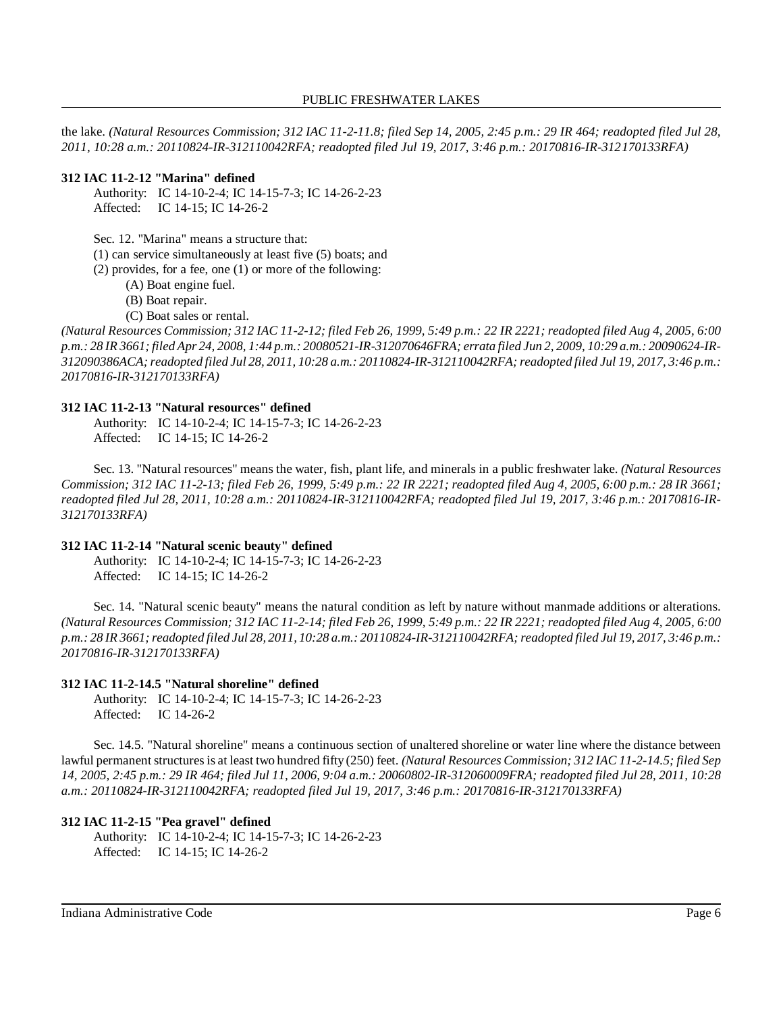the lake. *(Natural Resources Commission; 312 IAC 11-2-11.8; filed Sep 14, 2005, 2:45 p.m.: 29 IR 464; readopted filed Jul 28, 2011, 10:28 a.m.: 20110824-IR-312110042RFA; readopted filed Jul 19, 2017, 3:46 p.m.: 20170816-IR-312170133RFA)*

### **312 IAC 11-2-12 "Marina" defined**

Authority: IC 14-10-2-4; IC 14-15-7-3; IC 14-26-2-23 Affected: IC 14-15; IC 14-26-2

Sec. 12. "Marina" means a structure that:

(1) can service simultaneously at least five (5) boats; and

(2) provides, for a fee, one (1) or more of the following:

(A) Boat engine fuel.

(B) Boat repair.

(C) Boat sales or rental.

(Natural Resources Commission; 312 IAC 11-2-12; filed Feb 26, 1999, 5:49 p.m.: 22 IR 2221; readopted filed Aug 4, 2005, 6:00 p.m.: 28 IR 3661; filed Apr 24, 2008, 1:44 p.m.: 20080521-IR-312070646FRA; errata filed Jun 2, 2009, 10:29 a.m.: 20090624-IR-*312090386ACA;readopted filed Jul 28, 2011, 10:28 a.m.: 20110824-IR-312110042RFA;readopted filed Jul 19, 2017, 3:46 p.m.: 20170816-IR-312170133RFA)*

### **312 IAC 11-2-13 "Natural resources" defined**

Authority: IC 14-10-2-4; IC 14-15-7-3; IC 14-26-2-23 Affected: IC 14-15; IC 14-26-2

Sec. 13. "Natural resources" means the water, fish, plant life, and minerals in a public freshwater lake. *(Natural Resources Commission; 312 IAC 11-2-13; filed Feb 26, 1999, 5:49 p.m.: 22 IR 2221; readopted filed Aug 4, 2005, 6:00 p.m.: 28 IR 3661; readopted filed Jul 28, 2011, 10:28 a.m.: 20110824-IR-312110042RFA; readopted filed Jul 19, 2017, 3:46 p.m.: 20170816-IR-312170133RFA)*

# **312 IAC 11-2-14 "Natural scenic beauty" defined**

Authority: IC 14-10-2-4; IC 14-15-7-3; IC 14-26-2-23 Affected: IC 14-15; IC 14-26-2

Sec. 14. "Natural scenic beauty" means the natural condition as left by nature without manmade additions or alterations. (Natural Resources Commission; 312 IAC 11-2-14; filed Feb 26, 1999, 5:49 p.m.: 22 IR 2221; readopted filed Aug 4, 2005, 6:00 p.m.: 28 IR 3661; readopted filed Jul 28, 2011, 10:28 a.m.: 20110824-IR-312110042RFA; readopted filed Jul 19, 2017, 3:46 p.m.: *20170816-IR-312170133RFA)*

### **312 IAC 11-2-14.5 "Natural shoreline" defined**

Authority: IC 14-10-2-4; IC 14-15-7-3; IC 14-26-2-23 Affected: IC 14-26-2

Sec. 14.5. "Natural shoreline" means a continuous section of unaltered shoreline or water line where the distance between lawful permanent structuresis at least two hundred fifty (250) feet. *(Natural Resources Commission; 312 IAC 11-2-14.5; filed Sep* 14, 2005, 2:45 p.m.: 29 IR 464; filed Jul 11, 2006, 9:04 a.m.: 20060802-IR-312060009FRA; readopted filed Jul 28, 2011, 10:28 *a.m.: 20110824-IR-312110042RFA; readopted filed Jul 19, 2017, 3:46 p.m.: 20170816-IR-312170133RFA)*

### **312 IAC 11-2-15 "Pea gravel" defined**

Authority: IC 14-10-2-4; IC 14-15-7-3; IC 14-26-2-23 Affected: IC 14-15; IC 14-26-2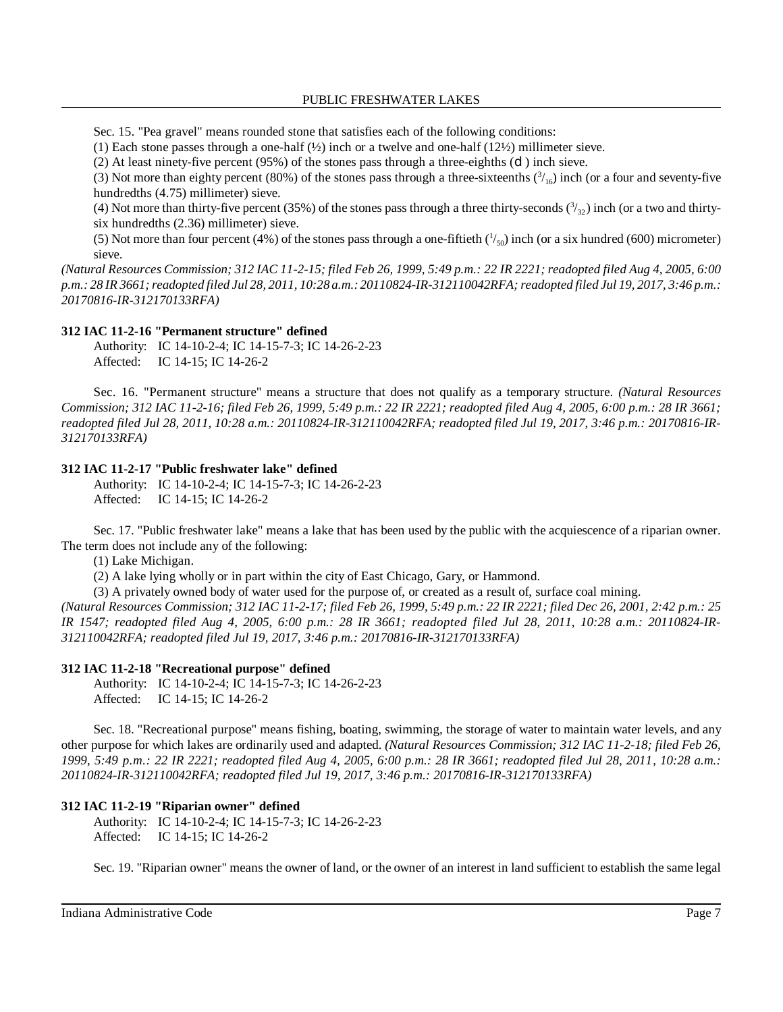Sec. 15. "Pea gravel" means rounded stone that satisfies each of the following conditions:

(1) Each stone passes through a one-half  $(\frac{1}{2})$  inch or a twelve and one-half  $(12\frac{1}{2})$  millimeter sieve.

(2) At least ninety-five percent (95%) of the stones pass through a three-eighths (d) inch sieve.

(3) Not more than eighty percent (80%) of the stones pass through a three-sixteenths  $\binom{3}{16}$  inch (or a four and seventy-five hundredths (4.75) millimeter) sieve.

(4) Not more than thirty-five percent (35%) of the stones pass through a three thirty-seconds  $(3/32)$  inch (or a two and thirtysix hundredths (2.36) millimeter) sieve.

(5) Not more than four percent (4%) of the stones pass through a one-fiftieth  $(^{1}/_{50})$  inch (or a six hundred (600) micrometer) sieve.

(Natural Resources Commission; 312 IAC 11-2-15; filed Feb 26, 1999, 5:49 p.m.: 22 IR 2221; readopted filed Aug 4, 2005, 6:00 p.m.: 28 IR 3661; readopted filed Jul 28, 2011, 10:28 a.m.: 20110824-IR-312110042RFA; readopted filed Jul 19, 2017, 3:46 p.m.: *20170816-IR-312170133RFA)*

### **312 IAC 11-2-16 "Permanent structure" defined**

Authority: IC 14-10-2-4; IC 14-15-7-3; IC 14-26-2-23 Affected: IC 14-15; IC 14-26-2

Sec. 16. "Permanent structure" means a structure that does not qualify as a temporary structure. *(Natural Resources Commission; 312 IAC 11-2-16; filed Feb 26, 1999, 5:49 p.m.: 22 IR 2221; readopted filed Aug 4, 2005, 6:00 p.m.: 28 IR 3661; readopted filed Jul 28, 2011, 10:28 a.m.: 20110824-IR-312110042RFA; readopted filed Jul 19, 2017, 3:46 p.m.: 20170816-IR-312170133RFA)*

### **312 IAC 11-2-17 "Public freshwater lake" defined**

Authority: IC 14-10-2-4; IC 14-15-7-3; IC 14-26-2-23 Affected: IC 14-15; IC 14-26-2

Sec. 17. "Public freshwater lake" means a lake that has been used by the public with the acquiescence of a riparian owner. The term does not include any of the following:

(1) Lake Michigan.

(2) A lake lying wholly or in part within the city of East Chicago, Gary, or Hammond.

(3) A privately owned body of water used for the purpose of, or created as a result of, surface coal mining.

(Natural Resources Commission; 312 IAC 11-2-17; filed Feb 26, 1999, 5:49 p.m.: 22 IR 2221; filed Dec 26, 2001, 2:42 p.m.: 25 *IR 1547; readopted filed Aug 4, 2005, 6:00 p.m.: 28 IR 3661; readopted filed Jul 28, 2011, 10:28 a.m.: 20110824-IR-312110042RFA; readopted filed Jul 19, 2017, 3:46 p.m.: 20170816-IR-312170133RFA)*

# **312 IAC 11-2-18 "Recreational purpose" defined**

Authority: IC 14-10-2-4; IC 14-15-7-3; IC 14-26-2-23 Affected: IC 14-15; IC 14-26-2

Sec. 18. "Recreational purpose" means fishing, boating, swimming, the storage of water to maintain water levels, and any other purpose for which lakes are ordinarily used and adapted. *(Natural Resources Commission; 312 IAC 11-2-18; filed Feb 26, 1999, 5:49 p.m.: 22 IR 2221; readopted filed Aug 4, 2005, 6:00 p.m.: 28 IR 3661; readopted filed Jul 28, 2011, 10:28 a.m.: 20110824-IR-312110042RFA; readopted filed Jul 19, 2017, 3:46 p.m.: 20170816-IR-312170133RFA)*

# **312 IAC 11-2-19 "Riparian owner" defined**

Authority: IC 14-10-2-4; IC 14-15-7-3; IC 14-26-2-23 Affected: IC 14-15; IC 14-26-2

Sec. 19. "Riparian owner" means the owner of land, or the owner of an interest in land sufficient to establish the same legal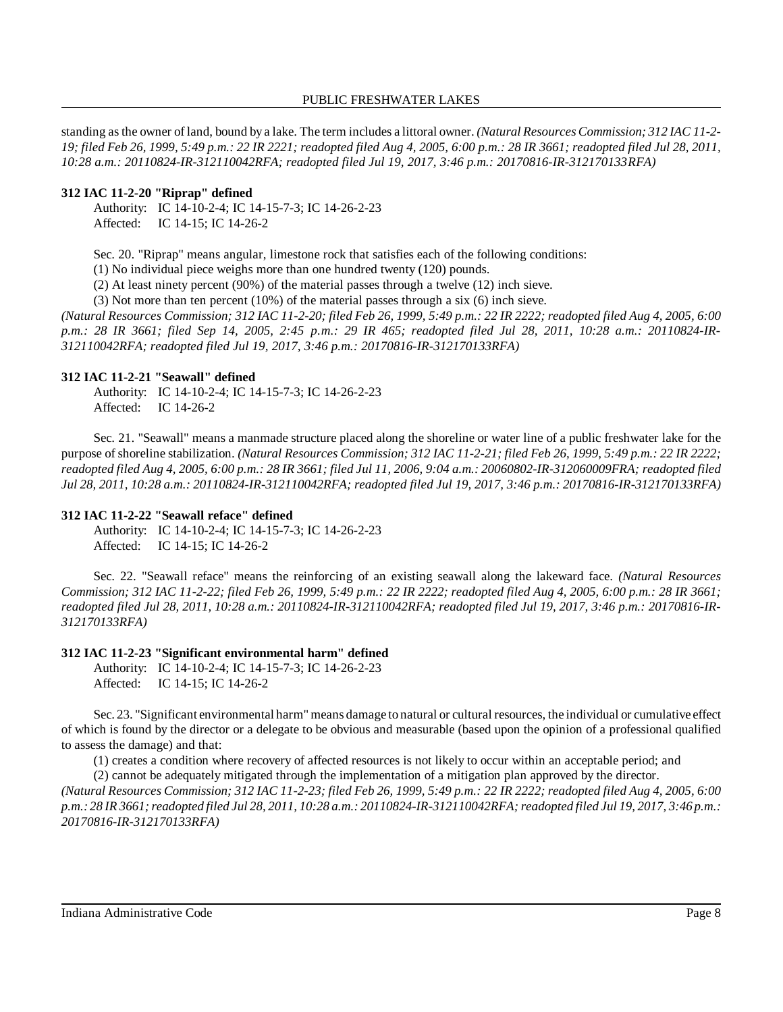standing asthe owner of land, bound by a lake. The term includes a littoral owner. *(Natural ResourcesCommission; 312 IAC 11-2-* 19; filed Feb 26, 1999, 5:49 p.m.: 22 IR 2221; readopted filed Aug 4, 2005, 6:00 p.m.: 28 IR 3661; readopted filed Jul 28, 2011, *10:28 a.m.: 20110824-IR-312110042RFA; readopted filed Jul 19, 2017, 3:46 p.m.: 20170816-IR-312170133RFA)*

### **312 IAC 11-2-20 "Riprap" defined**

Authority: IC 14-10-2-4; IC 14-15-7-3; IC 14-26-2-23 Affected: IC 14-15; IC 14-26-2

Sec. 20. "Riprap" means angular, limestone rock that satisfies each of the following conditions:

(1) No individual piece weighs more than one hundred twenty (120) pounds.

(2) At least ninety percent (90%) of the material passes through a twelve (12) inch sieve.

(3) Not more than ten percent (10%) of the material passes through a six (6) inch sieve.

(Natural Resources Commission; 312 IAC 11-2-20; filed Feb 26, 1999, 5:49 p.m.: 22 IR 2222; readopted filed Aug 4, 2005, 6:00 *p.m.: 28 IR 3661; filed Sep 14, 2005, 2:45 p.m.: 29 IR 465; readopted filed Jul 28, 2011, 10:28 a.m.: 20110824-IR-312110042RFA; readopted filed Jul 19, 2017, 3:46 p.m.: 20170816-IR-312170133RFA)*

#### **312 IAC 11-2-21 "Seawall" defined**

Authority: IC 14-10-2-4; IC 14-15-7-3; IC 14-26-2-23 Affected: IC 14-26-2

Sec. 21. "Seawall" means a manmade structure placed along the shoreline or water line of a public freshwater lake for the purpose of shoreline stabilization. (Natural Resources Commission; 312 IAC 11-2-21; filed Feb 26, 1999, 5:49 p.m.: 22 IR 2222; readopted filed Aug 4, 2005, 6:00 p.m.: 28 IR 3661; filed Jul 11, 2006, 9:04 a.m.: 20060802-IR-312060009FRA; readopted filed *Jul 28, 2011, 10:28 a.m.: 20110824-IR-312110042RFA; readopted filed Jul 19, 2017, 3:46 p.m.: 20170816-IR-312170133RFA)*

#### **312 IAC 11-2-22 "Seawall reface" defined**

Authority: IC 14-10-2-4; IC 14-15-7-3; IC 14-26-2-23 Affected: IC 14-15; IC 14-26-2

Sec. 22. "Seawall reface" means the reinforcing of an existing seawall along the lakeward face. *(Natural Resources Commission; 312 IAC 11-2-22; filed Feb 26, 1999, 5:49 p.m.: 22 IR 2222; readopted filed Aug 4, 2005, 6:00 p.m.: 28 IR 3661; readopted filed Jul 28, 2011, 10:28 a.m.: 20110824-IR-312110042RFA; readopted filed Jul 19, 2017, 3:46 p.m.: 20170816-IR-312170133RFA)*

#### **312 IAC 11-2-23 "Significant environmental harm" defined**

Authority: IC 14-10-2-4; IC 14-15-7-3; IC 14-26-2-23 Affected: IC 14-15; IC 14-26-2

Sec. 23. "Significant environmental harm" means damage to natural or cultural resources, the individual or cumulative effect of which is found by the director or a delegate to be obvious and measurable (based upon the opinion of a professional qualified to assess the damage) and that:

(1) creates a condition where recovery of affected resources is not likely to occur within an acceptable period; and

(2) cannot be adequately mitigated through the implementation of a mitigation plan approved by the director.

(Natural Resources Commission; 312 IAC 11-2-23; filed Feb 26, 1999, 5:49 p.m.: 22 IR 2222; readopted filed Aug 4, 2005, 6:00 p.m.: 28 IR 3661; readopted filed Jul 28, 2011, 10:28 a.m.: 20110824-IR-312110042RFA; readopted filed Jul 19, 2017, 3:46 p.m.: *20170816-IR-312170133RFA)*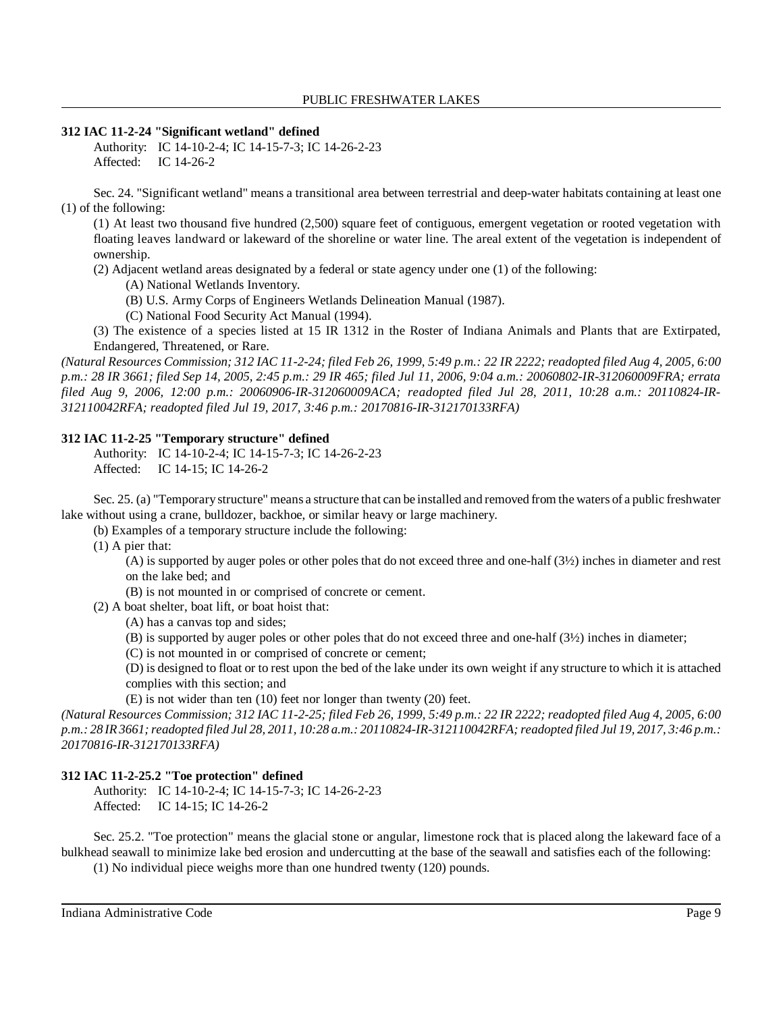### **312 IAC 11-2-24 "Significant wetland" defined**

Authority: IC 14-10-2-4; IC 14-15-7-3; IC 14-26-2-23 Affected: IC 14-26-2

Sec. 24. "Significant wetland" means a transitional area between terrestrial and deep-water habitats containing at least one (1) of the following:

(1) At least two thousand five hundred (2,500) square feet of contiguous, emergent vegetation or rooted vegetation with floating leaves landward or lakeward of the shoreline or water line. The areal extent of the vegetation is independent of ownership.

(2) Adjacent wetland areas designated by a federal or state agency under one (1) of the following:

(A) National Wetlands Inventory.

- (B) U.S. Army Corps of Engineers Wetlands Delineation Manual (1987).
- (C) National Food Security Act Manual (1994).

(3) The existence of a species listed at 15 IR 1312 in the Roster of Indiana Animals and Plants that are Extirpated, Endangered, Threatened, or Rare.

(Natural Resources Commission; 312 IAC 11-2-24; filed Feb 26, 1999, 5:49 p.m.: 22 IR 2222; readopted filed Aug 4, 2005, 6:00 *p.m.: 28 IR 3661; filed Sep 14, 2005, 2:45 p.m.: 29 IR 465; filed Jul 11, 2006, 9:04 a.m.: 20060802-IR-312060009FRA; errata filed Aug 9, 2006, 12:00 p.m.: 20060906-IR-312060009ACA; readopted filed Jul 28, 2011, 10:28 a.m.: 20110824-IR-312110042RFA; readopted filed Jul 19, 2017, 3:46 p.m.: 20170816-IR-312170133RFA)*

### **312 IAC 11-2-25 "Temporary structure" defined**

Authority: IC 14-10-2-4; IC 14-15-7-3; IC 14-26-2-23 Affected: IC 14-15; IC 14-26-2

Sec. 25. (a) "Temporarystructure" means a structure that can be installed and removed from the waters of a public freshwater lake without using a crane, bulldozer, backhoe, or similar heavy or large machinery.

(b) Examples of a temporary structure include the following:

(1) A pier that:

(A) is supported by auger poles or other poles that do not exceed three and one-half (3½) inches in diameter and rest on the lake bed; and

(B) is not mounted in or comprised of concrete or cement.

(2) A boat shelter, boat lift, or boat hoist that:

(A) has a canvas top and sides;

(B) is supported by auger poles or other poles that do not exceed three and one-half (3½) inches in diameter;

(C) is not mounted in or comprised of concrete or cement;

(D) is designed to float or to rest upon the bed of the lake under its own weight if any structure to which it is attached complies with this section; and

(E) is not wider than ten (10) feet nor longer than twenty (20) feet.

(Natural Resources Commission; 312 IAC 11-2-25; filed Feb 26, 1999, 5:49 p.m.: 22 IR 2222; readopted filed Aug 4, 2005, 6:00 p.m.: 28 IR 3661; readopted filed Jul 28, 2011, 10:28 a.m.: 20110824-IR-312110042RFA; readopted filed Jul 19, 2017, 3:46 p.m.: *20170816-IR-312170133RFA)*

### **312 IAC 11-2-25.2 "Toe protection" defined**

Authority: IC 14-10-2-4; IC 14-15-7-3; IC 14-26-2-23 Affected: IC 14-15; IC 14-26-2

Sec. 25.2. "Toe protection" means the glacial stone or angular, limestone rock that is placed along the lakeward face of a bulkhead seawall to minimize lake bed erosion and undercutting at the base of the seawall and satisfies each of the following:

(1) No individual piece weighs more than one hundred twenty (120) pounds.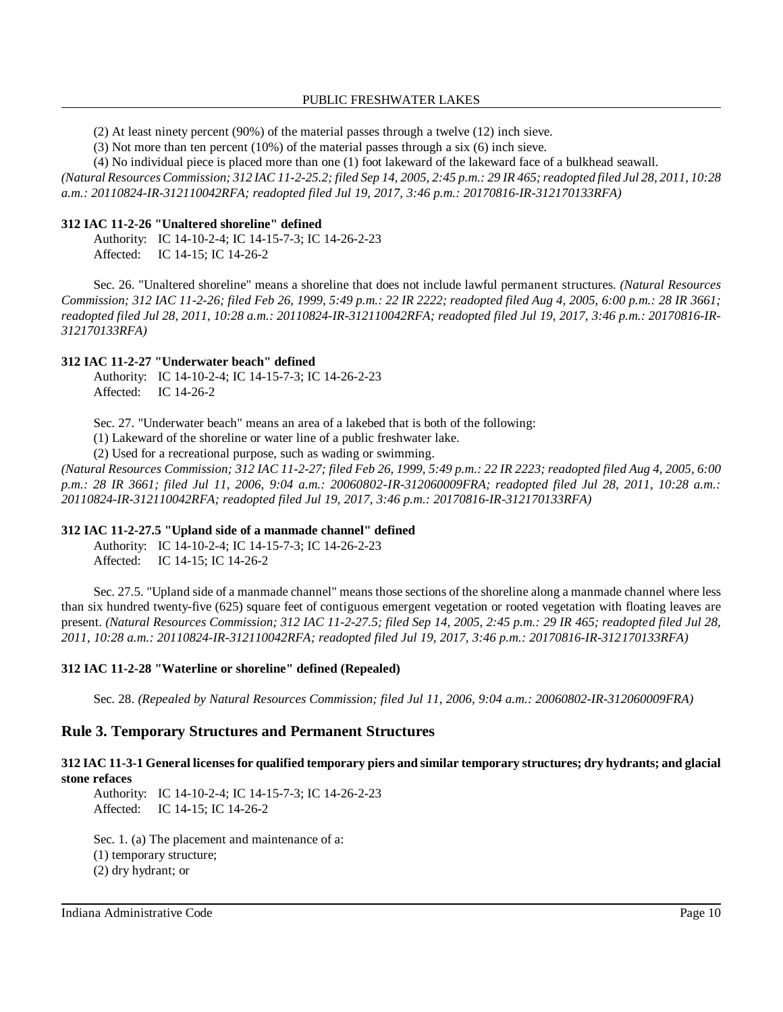(2) At least ninety percent (90%) of the material passes through a twelve (12) inch sieve.

(3) Not more than ten percent (10%) of the material passes through a six (6) inch sieve.

(4) No individual piece is placed more than one (1) foot lakeward of the lakeward face of a bulkhead seawall.

(Natural Resources Commission; 312 IAC 11-2-25.2; filed Sep 14, 2005, 2:45 p.m.: 29 IR 465; readopted filed Jul 28, 2011, 10:28 *a.m.: 20110824-IR-312110042RFA; readopted filed Jul 19, 2017, 3:46 p.m.: 20170816-IR-312170133RFA)*

### **312 IAC 11-2-26 "Unaltered shoreline" defined**

Authority: IC 14-10-2-4; IC 14-15-7-3; IC 14-26-2-23 Affected: IC 14-15; IC 14-26-2

Sec. 26. "Unaltered shoreline" means a shoreline that does not include lawful permanent structures. *(Natural Resources Commission; 312 IAC 11-2-26; filed Feb 26, 1999, 5:49 p.m.: 22 IR 2222; readopted filed Aug 4, 2005, 6:00 p.m.: 28 IR 3661; readopted filed Jul 28, 2011, 10:28 a.m.: 20110824-IR-312110042RFA; readopted filed Jul 19, 2017, 3:46 p.m.: 20170816-IR-312170133RFA)*

### **312 IAC 11-2-27 "Underwater beach" defined**

Authority: IC 14-10-2-4; IC 14-15-7-3; IC 14-26-2-23 Affected: IC 14-26-2

Sec. 27. "Underwater beach" means an area of a lakebed that is both of the following:

(1) Lakeward of the shoreline or water line of a public freshwater lake.

(2) Used for a recreational purpose, such as wading or swimming.

(Natural Resources Commission; 312 IAC 11-2-27; filed Feb 26, 1999, 5:49 p.m.: 22 IR 2223; readopted filed Aug 4, 2005, 6:00 *p.m.: 28 IR 3661; filed Jul 11, 2006, 9:04 a.m.: 20060802-IR-312060009FRA; readopted filed Jul 28, 2011, 10:28 a.m.: 20110824-IR-312110042RFA; readopted filed Jul 19, 2017, 3:46 p.m.: 20170816-IR-312170133RFA)*

### **312 IAC 11-2-27.5 "Upland side of a manmade channel" defined**

Authority: IC 14-10-2-4; IC 14-15-7-3; IC 14-26-2-23 Affected: IC 14-15; IC 14-26-2

Sec. 27.5. "Upland side of a manmade channel" means those sections of the shoreline along a manmade channel where less than six hundred twenty-five (625) square feet of contiguous emergent vegetation or rooted vegetation with floating leaves are present. *(Natural Resources Commission; 312 IAC 11-2-27.5; filed Sep 14, 2005, 2:45 p.m.: 29 IR 465; readopted filed Jul 28, 2011, 10:28 a.m.: 20110824-IR-312110042RFA; readopted filed Jul 19, 2017, 3:46 p.m.: 20170816-IR-312170133RFA)*

### **312 IAC 11-2-28 "Waterline or shoreline" defined (Repealed)**

Sec. 28. *(Repealed by Natural Resources Commission; filed Jul 11, 2006, 9:04 a.m.: 20060802-IR-312060009FRA)*

# **Rule 3. Temporary Structures and Permanent Structures**

### 312 IAC 11-3-1 General licenses for qualified temporary piers and similar temporary structures; dry hydrants; and glacial **stone refaces**

Authority: IC 14-10-2-4; IC 14-15-7-3; IC 14-26-2-23 Affected: IC 14-15; IC 14-26-2

Sec. 1. (a) The placement and maintenance of a: (1) temporary structure; (2) dry hydrant; or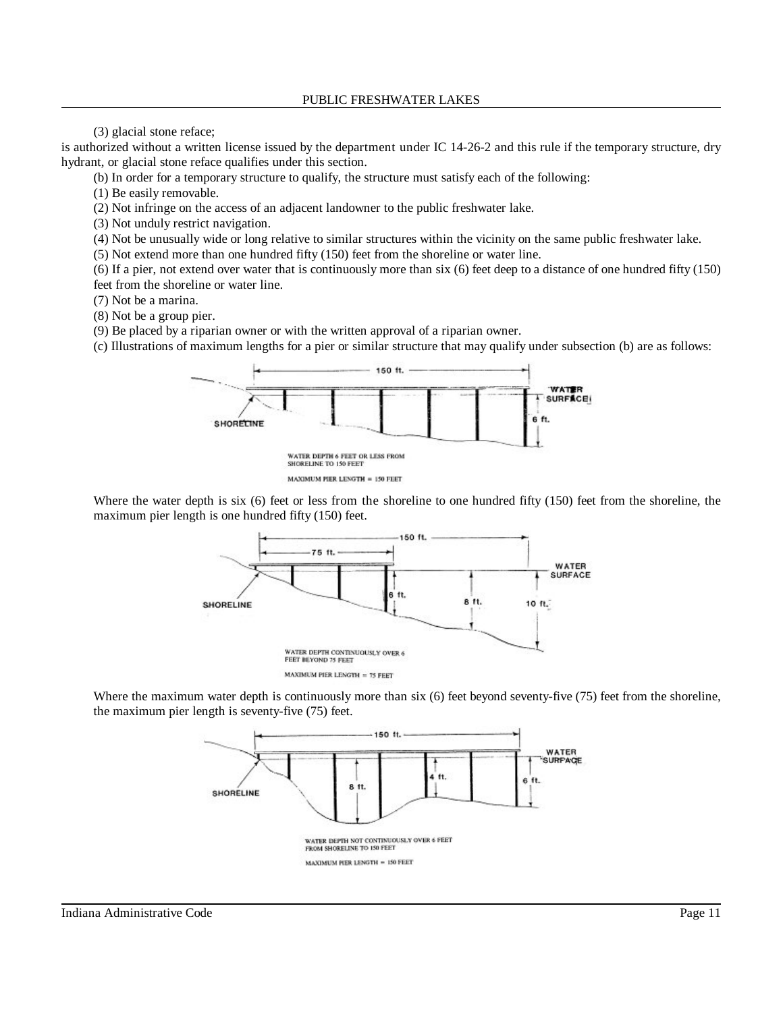(3) glacial stone reface;

is authorized without a written license issued by the department under IC 14-26-2 and this rule if the temporary structure, dry hydrant, or glacial stone reface qualifies under this section.

(b) In order for a temporary structure to qualify, the structure must satisfy each of the following:

(1) Be easily removable.

(2) Not infringe on the access of an adjacent landowner to the public freshwater lake.

(3) Not unduly restrict navigation.

(4) Not be unusually wide or long relative to similar structures within the vicinity on the same public freshwater lake.

(5) Not extend more than one hundred fifty (150) feet from the shoreline or water line.

(6) If a pier, not extend over water that is continuously more than six (6) feet deep to a distance of one hundred fifty (150) feet from the shoreline or water line.

(7) Not be a marina.

(8) Not be a group pier.

(9) Be placed by a riparian owner or with the written approval of a riparian owner.

(c) Illustrations of maximum lengths for a pier or similar structure that may qualify under subsection (b) are as follows:



MAXIMUM PIER LENGTH = 150 FEET

Where the water depth is six (6) feet or less from the shoreline to one hundred fifty (150) feet from the shoreline, the maximum pier length is one hundred fifty (150) feet.



Where the maximum water depth is continuously more than six (6) feet beyond seventy-five (75) feet from the shoreline, the maximum pier length is seventy-five (75) feet.

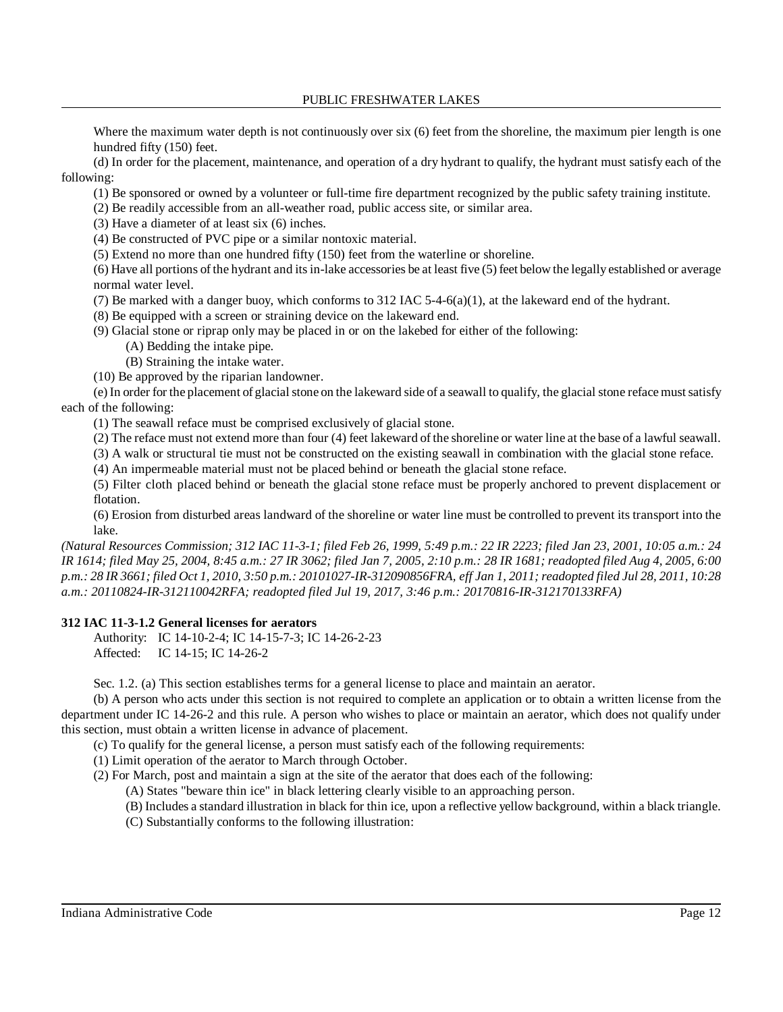Where the maximum water depth is not continuously over six (6) feet from the shoreline, the maximum pier length is one hundred fifty (150) feet.

(d) In order for the placement, maintenance, and operation of a dry hydrant to qualify, the hydrant must satisfy each of the following:

(1) Be sponsored or owned by a volunteer or full-time fire department recognized by the public safety training institute.

(2) Be readily accessible from an all-weather road, public access site, or similar area.

(3) Have a diameter of at least six (6) inches.

(4) Be constructed of PVC pipe or a similar nontoxic material.

(5) Extend no more than one hundred fifty (150) feet from the waterline or shoreline.

(6) Have all portions of the hydrant and itsin-lake accessories be at least five (5) feet below the legally established or average normal water level.

(7) Be marked with a danger buoy, which conforms to 312 IAC 5-4-6(a)(1), at the lakeward end of the hydrant.

(8) Be equipped with a screen or straining device on the lakeward end.

(9) Glacial stone or riprap only may be placed in or on the lakebed for either of the following:

(A) Bedding the intake pipe.

(B) Straining the intake water.

(10) Be approved by the riparian landowner.

(e) In order for the placement of glacialstone on the lakeward side of a seawall to qualify, the glacial stone refacemustsatisfy each of the following:

(1) The seawall reface must be comprised exclusively of glacial stone.

(2) The reface must not extend more than four (4) feet lakeward of the shoreline or water line at the base of a lawful seawall.

(3) A walk or structural tie must not be constructed on the existing seawall in combination with the glacial stone reface.

(4) An impermeable material must not be placed behind or beneath the glacial stone reface.

(5) Filter cloth placed behind or beneath the glacial stone reface must be properly anchored to prevent displacement or flotation.

(6) Erosion from disturbed areas landward of the shoreline or water line must be controlled to prevent its transport into the lake.

(Natural Resources Commission; 312 IAC 11-3-1; filed Feb 26, 1999, 5:49 p.m.: 22 IR 2223; filed Jan 23, 2001, 10:05 a.m.: 24 IR 1614; filed May 25, 2004, 8:45 a.m.: 27 IR 3062; filed Jan 7, 2005, 2:10 p.m.: 28 IR 1681; readopted filed Aug 4, 2005, 6:00 p.m.: 28 IR 3661; filed Oct 1, 2010, 3:50 p.m.: 20101027-IR-312090856FRA, eff Jan 1, 2011; readopted filed Jul 28, 2011, 10:28 *a.m.: 20110824-IR-312110042RFA; readopted filed Jul 19, 2017, 3:46 p.m.: 20170816-IR-312170133RFA)*

### **312 IAC 11-3-1.2 General licenses for aerators**

Authority: IC 14-10-2-4; IC 14-15-7-3; IC 14-26-2-23 Affected: IC 14-15; IC 14-26-2

Sec. 1.2. (a) This section establishes terms for a general license to place and maintain an aerator.

(b) A person who acts under this section is not required to complete an application or to obtain a written license from the department under IC 14-26-2 and this rule. A person who wishes to place or maintain an aerator, which does not qualify under this section, must obtain a written license in advance of placement.

(c) To qualify for the general license, a person must satisfy each of the following requirements:

(1) Limit operation of the aerator to March through October.

(2) For March, post and maintain a sign at the site of the aerator that does each of the following:

(A) States "beware thin ice" in black lettering clearly visible to an approaching person.

- (B) Includes a standard illustration in black for thin ice, upon a reflective yellow background, within a black triangle.
- (C) Substantially conforms to the following illustration: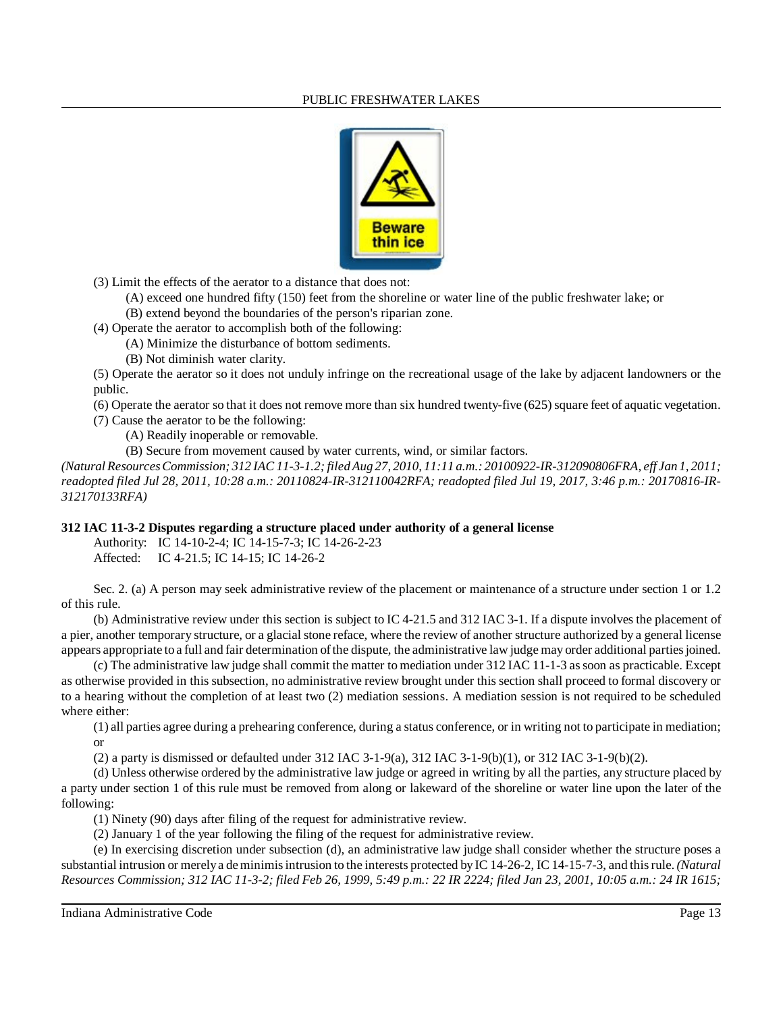

(3) Limit the effects of the aerator to a distance that does not:

(A) exceed one hundred fifty (150) feet from the shoreline or water line of the public freshwater lake; or

(B) extend beyond the boundaries of the person's riparian zone.

(4) Operate the aerator to accomplish both of the following:

(A) Minimize the disturbance of bottom sediments.

(B) Not diminish water clarity.

(5) Operate the aerator so it does not unduly infringe on the recreational usage of the lake by adjacent landowners or the public.

(6) Operate the aerator so that it does not remove more than six hundred twenty-five (625) square feet of aquatic vegetation. (7) Cause the aerator to be the following:

(A) Readily inoperable or removable.

(B) Secure from movement caused by water currents, wind, or similar factors.

(Natural Resources Commission; 312 IAC 11-3-1.2; filed Aug 27, 2010, 11:11 a.m.: 20100922-IR-312090806FRA, eff Jan 1, 2011; *readopted filed Jul 28, 2011, 10:28 a.m.: 20110824-IR-312110042RFA; readopted filed Jul 19, 2017, 3:46 p.m.: 20170816-IR-312170133RFA)*

# **312 IAC 11-3-2 Disputes regarding a structure placed under authority of a general license**

Authority: IC 14-10-2-4; IC 14-15-7-3; IC 14-26-2-23

Affected: IC 4-21.5; IC 14-15; IC 14-26-2

Sec. 2. (a) A person may seek administrative review of the placement or maintenance of a structure under section 1 or 1.2 of this rule.

(b) Administrative review under this section is subject to IC 4-21.5 and 312 IAC 3-1. If a dispute involves the placement of a pier, another temporary structure, or a glacial stone reface, where the review of another structure authorized by a general license appears appropriate to a full and fair determination ofthe dispute, the administrative law judge may order additional partiesjoined.

(c) The administrative law judge shall commit the matter to mediation under 312 IAC 11-1-3 assoon as practicable. Except as otherwise provided in this subsection, no administrative review brought under this section shall proceed to formal discovery or to a hearing without the completion of at least two (2) mediation sessions. A mediation session is not required to be scheduled where either:

(1) all parties agree during a prehearing conference, during a status conference, or in writing not to participate in mediation; or

(2) a party is dismissed or defaulted under 312 IAC 3-1-9(a), 312 IAC 3-1-9(b)(1), or 312 IAC 3-1-9(b)(2).

(d) Unless otherwise ordered by the administrative law judge or agreed in writing by all the parties, any structure placed by a party under section 1 of this rule must be removed from along or lakeward of the shoreline or water line upon the later of the following:

(1) Ninety (90) days after filing of the request for administrative review.

(2) January 1 of the year following the filing of the request for administrative review.

(e) In exercising discretion under subsection (d), an administrative law judge shall consider whether the structure poses a substantial intrusion or merelya deminimisintrusion to the interests protected by IC 14-26-2, IC 14-15-7-3, and thisrule. *(Natural* Resources Commission; 312 IAC 11-3-2; filed Feb 26, 1999, 5:49 p.m.: 22 IR 2224; filed Jan 23, 2001, 10:05 a.m.: 24 IR 1615;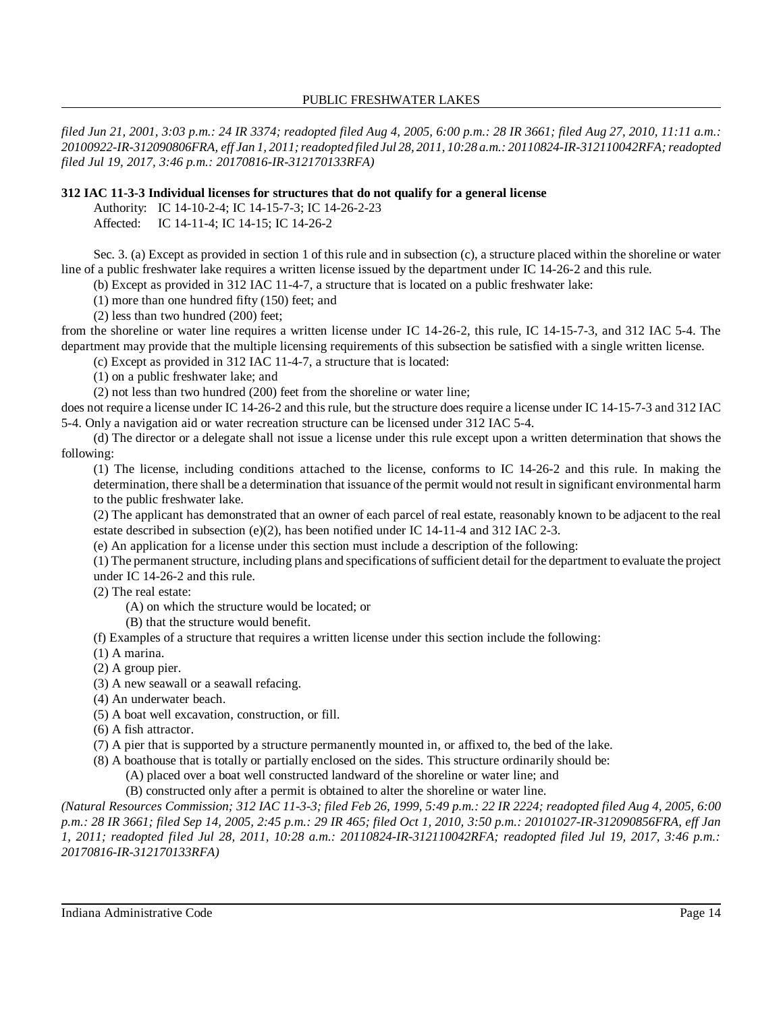*filed Jun 21, 2001, 3:03 p.m.: 24 IR 3374; readopted filed Aug 4, 2005, 6:00 p.m.: 28 IR 3661; filed Aug 27, 2010, 11:11 a.m.: 20100922-IR-312090806FRA, eff Jan 1, 2011;readopted filed Jul 28, 2011, 10:28 a.m.: 20110824-IR-312110042RFA;readopted filed Jul 19, 2017, 3:46 p.m.: 20170816-IR-312170133RFA)*

### **312 IAC 11-3-3 Individual licenses for structures that do not qualify for a general license**

Authority: IC 14-10-2-4; IC 14-15-7-3; IC 14-26-2-23

Affected: IC 14-11-4; IC 14-15; IC 14-26-2

Sec. 3. (a) Except as provided in section 1 of this rule and in subsection (c), a structure placed within the shoreline or water line of a public freshwater lake requires a written license issued by the department under IC 14-26-2 and this rule.

(b) Except as provided in 312 IAC 11-4-7, a structure that is located on a public freshwater lake:

(1) more than one hundred fifty (150) feet; and

(2) less than two hundred (200) feet;

from the shoreline or water line requires a written license under IC 14-26-2, this rule, IC 14-15-7-3, and 312 IAC 5-4. The department may provide that the multiple licensing requirements of this subsection be satisfied with a single written license.

(c) Except as provided in 312 IAC 11-4-7, a structure that is located:

(1) on a public freshwater lake; and

(2) not less than two hundred (200) feet from the shoreline or water line;

does not require a license under IC 14-26-2 and this rule, but the structure does require a license under IC 14-15-7-3 and 312 IAC 5-4. Only a navigation aid or water recreation structure can be licensed under 312 IAC 5-4.

(d) The director or a delegate shall not issue a license under this rule except upon a written determination that shows the following:

(1) The license, including conditions attached to the license, conforms to IC 14-26-2 and this rule. In making the determination, there shall be a determination that issuance of the permit would not result in significant environmental harm to the public freshwater lake.

(2) The applicant has demonstrated that an owner of each parcel of real estate, reasonably known to be adjacent to the real estate described in subsection (e)(2), has been notified under IC 14-11-4 and 312 IAC 2-3.

(e) An application for a license under this section must include a description of the following:

(1) The permanent structure, including plans and specifications ofsufficient detail for the department to evaluate the project under IC 14-26-2 and this rule.

(2) The real estate:

(A) on which the structure would be located; or

(B) that the structure would benefit.

(f) Examples of a structure that requires a written license under this section include the following:

- (1) A marina.
- (2) A group pier.
- (3) A new seawall or a seawall refacing.
- (4) An underwater beach.
- (5) A boat well excavation, construction, or fill.

(6) A fish attractor.

(7) A pier that is supported by a structure permanently mounted in, or affixed to, the bed of the lake.

(8) A boathouse that is totally or partially enclosed on the sides. This structure ordinarily should be:

(A) placed over a boat well constructed landward of the shoreline or water line; and

(B) constructed only after a permit is obtained to alter the shoreline or water line.

(Natural Resources Commission; 312 IAC 11-3-3; filed Feb 26, 1999, 5:49 p.m.: 22 IR 2224; readopted filed Aug 4, 2005, 6:00 *p.m.: 28 IR 3661; filed Sep 14, 2005, 2:45 p.m.: 29 IR 465; filed Oct 1, 2010, 3:50 p.m.: 20101027-IR-312090856FRA, eff Jan 1, 2011; readopted filed Jul 28, 2011, 10:28 a.m.: 20110824-IR-312110042RFA; readopted filed Jul 19, 2017, 3:46 p.m.: 20170816-IR-312170133RFA)*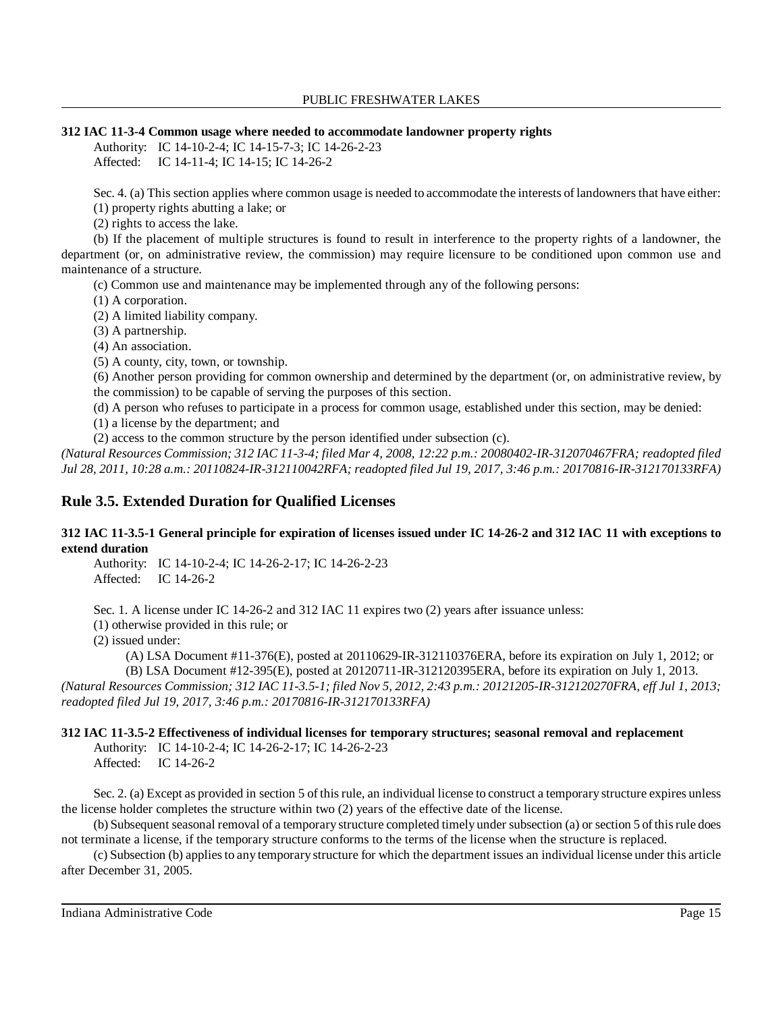## **312 IAC 11-3-4 Common usage where needed to accommodate landowner property rights**

Authority: IC 14-10-2-4; IC 14-15-7-3; IC 14-26-2-23 Affected: IC 14-11-4; IC 14-15; IC 14-26-2

Sec. 4. (a) This section applies where common usage is needed to accommodate the interests of landowners that have either:

(1) property rights abutting a lake; or

(2) rights to access the lake.

(b) If the placement of multiple structures is found to result in interference to the property rights of a landowner, the department (or, on administrative review, the commission) may require licensure to be conditioned upon common use and maintenance of a structure.

(c) Common use and maintenance may be implemented through any of the following persons:

(1) A corporation.

(2) A limited liability company.

(3) A partnership.

(4) An association.

(5) A county, city, town, or township.

(6) Another person providing for common ownership and determined by the department (or, on administrative review, by the commission) to be capable of serving the purposes of this section.

(d) A person who refuses to participate in a process for common usage, established under this section, may be denied:

(1) a license by the department; and

(2) access to the common structure by the person identified under subsection (c).

*(Natural Resources Commission; 312 IAC 11-3-4; filed Mar 4, 2008, 12:22 p.m.: 20080402-IR-312070467FRA; readopted filed Jul 28, 2011, 10:28 a.m.: 20110824-IR-312110042RFA; readopted filed Jul 19, 2017, 3:46 p.m.: 20170816-IR-312170133RFA)*

# **Rule 3.5. Extended Duration for Qualified Licenses**

### **312 IAC 11-3.5-1 General principle for expiration of licenses issued under IC 14-26-2 and 312 IAC 11 with exceptions to extend duration**

Authority: IC 14-10-2-4; IC 14-26-2-17; IC 14-26-2-23 Affected: IC 14-26-2

Sec. 1. A license under IC 14-26-2 and 312 IAC 11 expires two (2) years after issuance unless:

(1) otherwise provided in this rule; or

(2) issued under:

(A) LSA Document #11-376(E), posted at 20110629-IR-312110376ERA, before its expiration on July 1, 2012; or

(B) LSA Document #12-395(E), posted at 20120711-IR-312120395ERA, before its expiration on July 1, 2013. (Natural Resources Commission; 312 IAC 11-3.5-1; filed Nov 5, 2012, 2:43 p.m.: 20121205-IR-312120270FRA, eff Jul 1, 2013; *readopted filed Jul 19, 2017, 3:46 p.m.: 20170816-IR-312170133RFA)*

# **312 IAC 11-3.5-2 Effectiveness of individual licenses for temporary structures; seasonal removal and replacement**

Authority: IC 14-10-2-4; IC 14-26-2-17; IC 14-26-2-23 Affected: IC 14-26-2

Sec. 2. (a) Except as provided in section 5 of thisrule, an individual license to construct a temporary structure expires unless the license holder completes the structure within two (2) years of the effective date of the license.

(b) Subsequent seasonal removal of a temporary structure completed timely under subsection (a) or section 5 ofthisrule does not terminate a license, if the temporary structure conforms to the terms of the license when the structure is replaced.

(c) Subsection (b) appliesto any temporary structure for which the department issues an individual license under this article after December 31, 2005.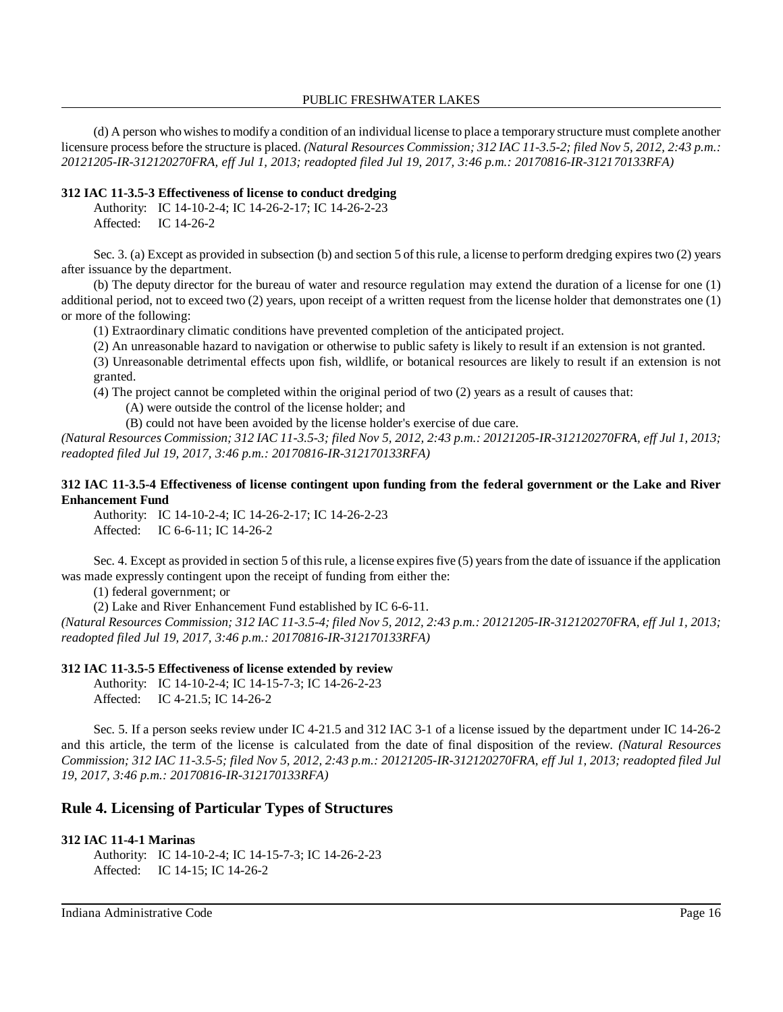(d) A person who wishesto modify a condition of an individual license to place a temporary structure must complete another licensure process before the structure is placed. *(Natural Resources Commission; 312 IAC 11-3.5-2; filed Nov 5, 2012, 2:43 p.m.: 20121205-IR-312120270FRA, eff Jul 1, 2013; readopted filed Jul 19, 2017, 3:46 p.m.: 20170816-IR-312170133RFA)*

### **312 IAC 11-3.5-3 Effectiveness of license to conduct dredging**

Authority: IC 14-10-2-4; IC 14-26-2-17; IC 14-26-2-23 Affected: IC 14-26-2

Sec. 3. (a) Except as provided in subsection (b) and section 5 of thisrule, a license to perform dredging expires two (2) years after issuance by the department.

(b) The deputy director for the bureau of water and resource regulation may extend the duration of a license for one (1) additional period, not to exceed two (2) years, upon receipt of a written request from the license holder that demonstrates one (1) or more of the following:

(1) Extraordinary climatic conditions have prevented completion of the anticipated project.

(2) An unreasonable hazard to navigation or otherwise to public safety is likely to result if an extension is not granted.

(3) Unreasonable detrimental effects upon fish, wildlife, or botanical resources are likely to result if an extension is not granted.

(4) The project cannot be completed within the original period of two (2) years as a result of causes that:

(A) were outside the control of the license holder; and

(B) could not have been avoided by the license holder's exercise of due care.

(Natural Resources Commission; 312 IAC 11-3.5-3; filed Nov 5, 2012, 2:43 p.m.: 20121205-IR-312120270FRA, eff Jul 1, 2013; *readopted filed Jul 19, 2017, 3:46 p.m.: 20170816-IR-312170133RFA)*

### **312 IAC 11-3.5-4 Effectiveness of license contingent upon funding from the federal government or the Lake and River Enhancement Fund**

Authority: IC 14-10-2-4; IC 14-26-2-17; IC 14-26-2-23 Affected: IC 6-6-11; IC 14-26-2

Sec. 4. Except as provided in section 5 of this rule, a license expires five (5) years from the date of issuance if the application was made expressly contingent upon the receipt of funding from either the:

(1) federal government; or

(2) Lake and River Enhancement Fund established by IC 6-6-11.

(Natural Resources Commission; 312 IAC 11-3.5-4; filed Nov 5, 2012, 2:43 p.m.: 20121205-IR-312120270FRA, eff Jul 1, 2013; *readopted filed Jul 19, 2017, 3:46 p.m.: 20170816-IR-312170133RFA)*

### **312 IAC 11-3.5-5 Effectiveness of license extended by review**

Authority: IC 14-10-2-4; IC 14-15-7-3; IC 14-26-2-23 Affected: IC 4-21.5; IC 14-26-2

Sec. 5. If a person seeks review under IC 4-21.5 and 312 IAC 3-1 of a license issued by the department under IC 14-26-2 and this article, the term of the license is calculated from the date of final disposition of the review. *(Natural Resources* Commission; 312 IAC 11-3.5-5; filed Nov 5, 2012, 2:43 p.m.: 20121205-IR-312120270FRA, eff Jul 1, 2013; readopted filed Jul *19, 2017, 3:46 p.m.: 20170816-IR-312170133RFA)*

# **Rule 4. Licensing of Particular Types of Structures**

### **312 IAC 11-4-1 Marinas**

Authority: IC 14-10-2-4; IC 14-15-7-3; IC 14-26-2-23 Affected: IC 14-15; IC 14-26-2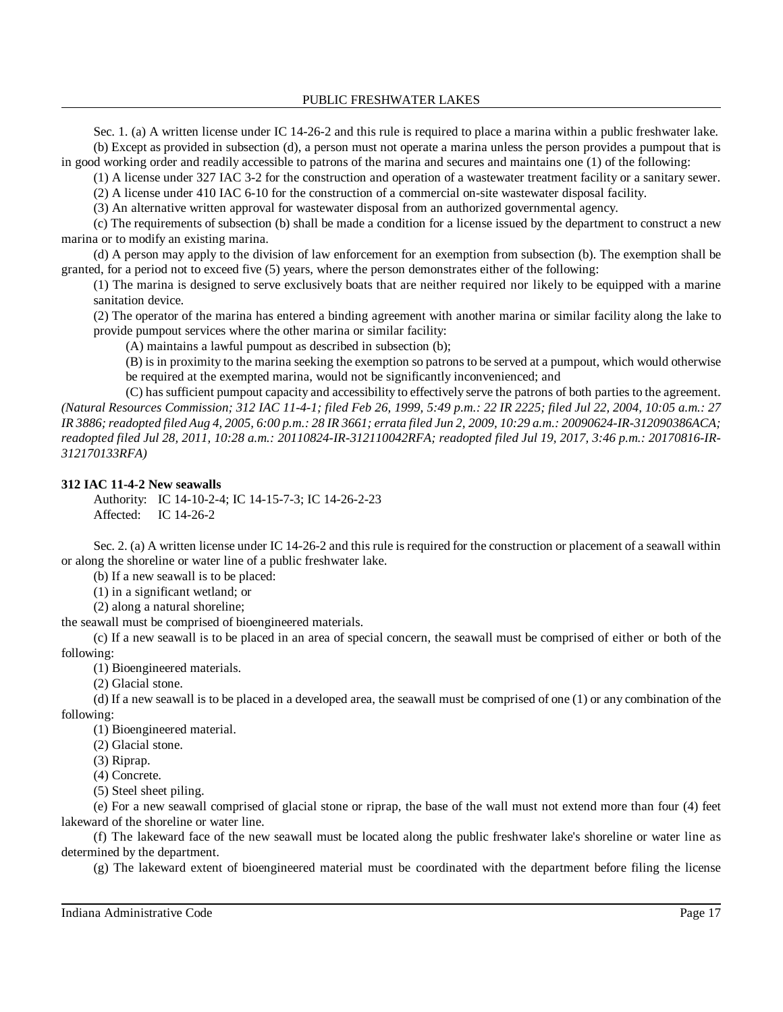Sec. 1. (a) A written license under IC 14-26-2 and this rule is required to place a marina within a public freshwater lake. (b) Except as provided in subsection (d), a person must not operate a marina unless the person provides a pumpout that is in good working order and readily accessible to patrons of the marina and secures and maintains one (1) of the following:

(1) A license under 327 IAC 3-2 for the construction and operation of a wastewater treatment facility or a sanitary sewer.

(2) A license under 410 IAC 6-10 for the construction of a commercial on-site wastewater disposal facility.

(3) An alternative written approval for wastewater disposal from an authorized governmental agency.

(c) The requirements of subsection (b) shall be made a condition for a license issued by the department to construct a new marina or to modify an existing marina.

(d) A person may apply to the division of law enforcement for an exemption from subsection (b). The exemption shall be granted, for a period not to exceed five (5) years, where the person demonstrates either of the following:

(1) The marina is designed to serve exclusively boats that are neither required nor likely to be equipped with a marine sanitation device.

(2) The operator of the marina has entered a binding agreement with another marina or similar facility along the lake to provide pumpout services where the other marina or similar facility:

(A) maintains a lawful pumpout as described in subsection (b);

(B) is in proximity to the marina seeking the exemption so patrons to be served at a pumpout, which would otherwise be required at the exempted marina, would not be significantly inconvenienced; and

(C) has sufficient pumpout capacity and accessibility to effectively serve the patrons of both parties to the agreement. *(Natural Resources Commission; 312 IAC 11-4-1; filed Feb 26, 1999, 5:49 p.m.: 22 IR 2225; filed Jul 22, 2004, 10:05 a.m.: 27* IR 3886; readopted filed Aug 4, 2005, 6:00 p.m.: 28 IR 3661; errata filed Jun 2, 2009, 10:29 a.m.: 20090624-IR-312090386ACA; *readopted filed Jul 28, 2011, 10:28 a.m.: 20110824-IR-312110042RFA; readopted filed Jul 19, 2017, 3:46 p.m.: 20170816-IR-312170133RFA)*

#### **312 IAC 11-4-2 New seawalls**

Authority: IC 14-10-2-4; IC 14-15-7-3; IC 14-26-2-23 Affected: IC 14-26-2

Sec. 2. (a) A written license under IC 14-26-2 and this rule is required for the construction or placement of a seawall within or along the shoreline or water line of a public freshwater lake.

(b) If a new seawall is to be placed:

(1) in a significant wetland; or

(2) along a natural shoreline;

the seawall must be comprised of bioengineered materials.

(c) If a new seawall is to be placed in an area of special concern, the seawall must be comprised of either or both of the following:

(1) Bioengineered materials.

(2) Glacial stone.

(d) If a new seawall is to be placed in a developed area, the seawall must be comprised of one (1) or any combination of the following:

(1) Bioengineered material.

(2) Glacial stone.

(3) Riprap.

(4) Concrete.

(5) Steel sheet piling.

(e) For a new seawall comprised of glacial stone or riprap, the base of the wall must not extend more than four (4) feet lakeward of the shoreline or water line.

(f) The lakeward face of the new seawall must be located along the public freshwater lake's shoreline or water line as determined by the department.

(g) The lakeward extent of bioengineered material must be coordinated with the department before filing the license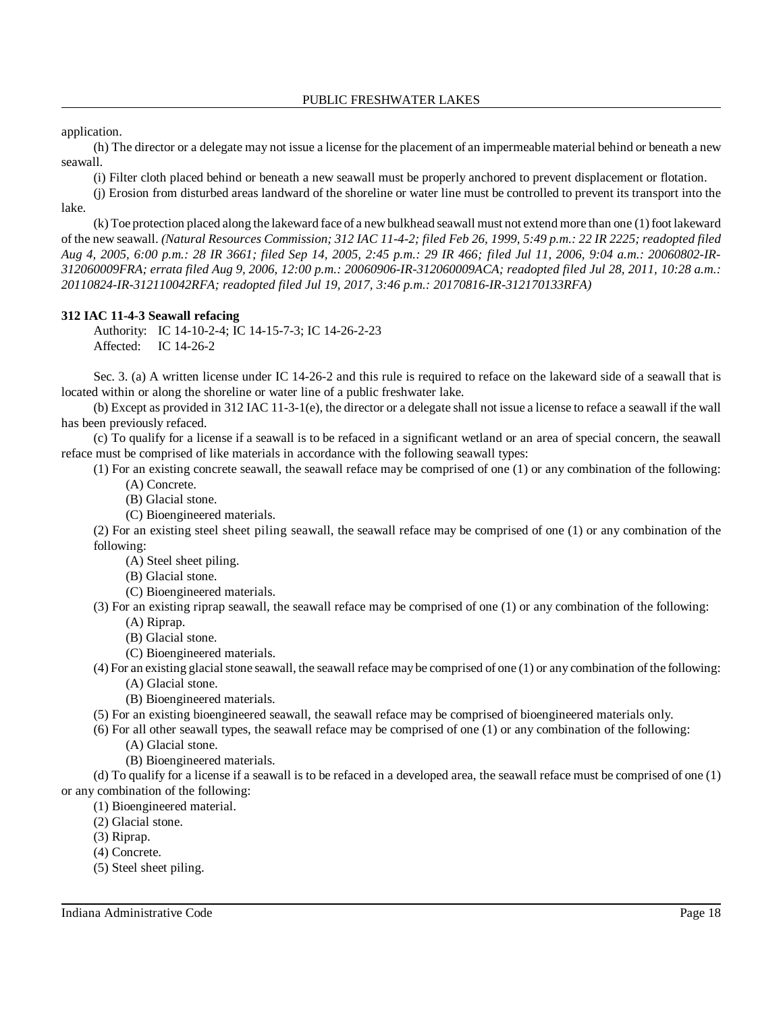application.

(h) The director or a delegate may not issue a license for the placement of an impermeable material behind or beneath a new seawall.

(i) Filter cloth placed behind or beneath a new seawall must be properly anchored to prevent displacement or flotation.

(j) Erosion from disturbed areas landward of the shoreline or water line must be controlled to prevent its transport into the lake.

(k) Toe protection placed along the lakeward face of a newbulkhead seawall must not extend more than one (1) foot lakeward of the new seawall. (Natural Resources Commission; 312 IAC 11-4-2; filed Feb 26, 1999, 5:49 p.m.: 22 IR 2225; readopted filed Aug 4, 2005, 6:00 p.m.: 28 IR 3661; filed Sep 14, 2005, 2:45 p.m.: 29 IR 466; filed Jul 11, 2006, 9:04 a.m.: 20060802-IR-*312060009FRA; errata filed Aug 9, 2006, 12:00 p.m.: 20060906-IR-312060009ACA; readopted filed Jul 28, 2011, 10:28 a.m.: 20110824-IR-312110042RFA; readopted filed Jul 19, 2017, 3:46 p.m.: 20170816-IR-312170133RFA)*

#### **312 IAC 11-4-3 Seawall refacing**

Authority: IC 14-10-2-4; IC 14-15-7-3; IC 14-26-2-23 Affected: IC 14-26-2

Sec. 3. (a) A written license under IC 14-26-2 and this rule is required to reface on the lakeward side of a seawall that is located within or along the shoreline or water line of a public freshwater lake.

(b) Except as provided in 312 IAC 11-3-1(e), the director or a delegate shall not issue a license to reface a seawall if the wall has been previously refaced.

(c) To qualify for a license if a seawall is to be refaced in a significant wetland or an area of special concern, the seawall reface must be comprised of like materials in accordance with the following seawall types:

(1) For an existing concrete seawall, the seawall reface may be comprised of one (1) or any combination of the following:

- (A) Concrete.
- (B) Glacial stone.
- (C) Bioengineered materials.

(2) For an existing steel sheet piling seawall, the seawall reface may be comprised of one (1) or any combination of the following:

(A) Steel sheet piling.

(B) Glacial stone.

(C) Bioengineered materials.

(3) For an existing riprap seawall, the seawall reface may be comprised of one (1) or any combination of the following:

- (A) Riprap.
- (B) Glacial stone.

(C) Bioengineered materials.

 $(4)$  For an existing glacial stone seawall, the seawall reface may be comprised of one  $(1)$  or any combination of the following: (A) Glacial stone.

(B) Bioengineered materials.

(5) For an existing bioengineered seawall, the seawall reface may be comprised of bioengineered materials only.

(6) For all other seawall types, the seawall reface may be comprised of one (1) or any combination of the following:

(A) Glacial stone.

(B) Bioengineered materials.

(d) To qualify for a license if a seawall is to be refaced in a developed area, the seawall reface must be comprised of one (1) or any combination of the following:

(1) Bioengineered material.

- (2) Glacial stone.
- (3) Riprap.
- (4) Concrete.

(5) Steel sheet piling.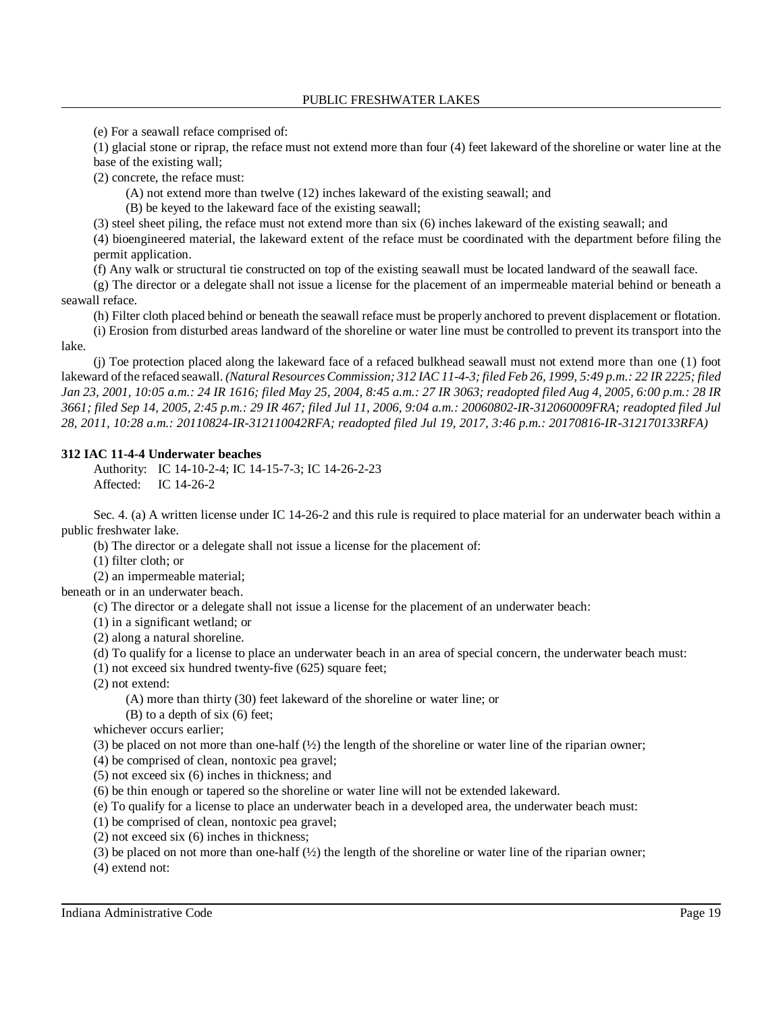(e) For a seawall reface comprised of:

(1) glacial stone or riprap, the reface must not extend more than four (4) feet lakeward of the shoreline or water line at the base of the existing wall;

(2) concrete, the reface must:

(A) not extend more than twelve (12) inches lakeward of the existing seawall; and

(B) be keyed to the lakeward face of the existing seawall;

(3) steel sheet piling, the reface must not extend more than six (6) inches lakeward of the existing seawall; and

(4) bioengineered material, the lakeward extent of the reface must be coordinated with the department before filing the permit application.

(f) Any walk or structural tie constructed on top of the existing seawall must be located landward of the seawall face.

(g) The director or a delegate shall not issue a license for the placement of an impermeable material behind or beneath a seawall reface.

(h) Filter cloth placed behind or beneath the seawall reface must be properly anchored to prevent displacement or flotation.

(i) Erosion from disturbed areas landward of the shoreline or water line must be controlled to prevent its transport into the lake.

(j) Toe protection placed along the lakeward face of a refaced bulkhead seawall must not extend more than one (1) foot lakeward of the refaced seawall. (Natural Resources Commission; 312 IAC 11-4-3; filed Feb 26, 1999, 5:49 p.m.; 22 IR 2225; filed Jan 23, 2001, 10:05 a.m.: 24 IR 1616; filed May 25, 2004, 8:45 a.m.: 27 IR 3063; readopted filed Aug 4, 2005, 6:00 p.m.: 28 IR 3661; filed Sep 14, 2005, 2:45 p.m.: 29 IR 467; filed Jul 11, 2006, 9:04 a.m.: 20060802-IR-312060009FRA; readopted filed Jul *28, 2011, 10:28 a.m.: 20110824-IR-312110042RFA; readopted filed Jul 19, 2017, 3:46 p.m.: 20170816-IR-312170133RFA)*

### **312 IAC 11-4-4 Underwater beaches**

Authority: IC 14-10-2-4; IC 14-15-7-3; IC 14-26-2-23 Affected: IC 14-26-2

Sec. 4. (a) A written license under IC 14-26-2 and this rule is required to place material for an underwater beach within a public freshwater lake.

(b) The director or a delegate shall not issue a license for the placement of:

(1) filter cloth; or

(2) an impermeable material;

beneath or in an underwater beach.

(c) The director or a delegate shall not issue a license for the placement of an underwater beach:

(1) in a significant wetland; or

(2) along a natural shoreline.

(d) To qualify for a license to place an underwater beach in an area of special concern, the underwater beach must:

(1) not exceed six hundred twenty-five (625) square feet;

(2) not extend:

(A) more than thirty (30) feet lakeward of the shoreline or water line; or

(B) to a depth of six (6) feet;

whichever occurs earlier;

(3) be placed on not more than one-half  $(\frac{1}{2})$  the length of the shoreline or water line of the riparian owner;

(4) be comprised of clean, nontoxic pea gravel;

(5) not exceed six (6) inches in thickness; and

(6) be thin enough or tapered so the shoreline or water line will not be extended lakeward.

(e) To qualify for a license to place an underwater beach in a developed area, the underwater beach must:

(1) be comprised of clean, nontoxic pea gravel;

(2) not exceed six (6) inches in thickness;

(3) be placed on not more than one-half  $(\frac{1}{2})$  the length of the shoreline or water line of the riparian owner;

(4) extend not: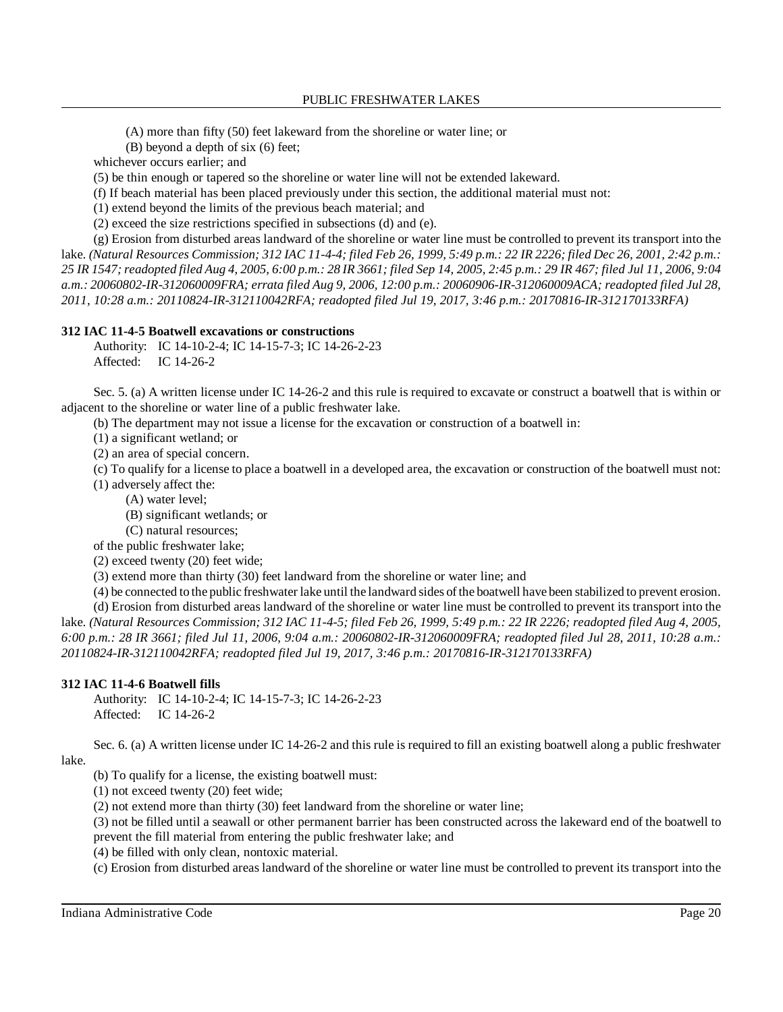(A) more than fifty (50) feet lakeward from the shoreline or water line; or

(B) beyond a depth of six (6) feet;

whichever occurs earlier; and

(5) be thin enough or tapered so the shoreline or water line will not be extended lakeward.

(f) If beach material has been placed previously under this section, the additional material must not:

(1) extend beyond the limits of the previous beach material; and

(2) exceed the size restrictions specified in subsections (d) and (e).

(g) Erosion from disturbed areas landward of the shoreline or water line must be controlled to prevent its transport into the lake. (Natural Resources Commission; 312 IAC 11-4-4; filed Feb 26, 1999, 5:49 p.m.: 22 IR 2226; filed Dec 26, 2001, 2:42 p.m.: 25 IR 1547; readopted filed Aug 4, 2005, 6:00 p.m.: 28 IR 3661; filed Sep 14, 2005, 2:45 p.m.: 29 IR 467; filed Jul 11, 2006, 9:04 *a.m.: 20060802-IR-312060009FRA; errata filed Aug 9, 2006, 12:00 p.m.: 20060906-IR-312060009ACA; readopted filed Jul 28, 2011, 10:28 a.m.: 20110824-IR-312110042RFA; readopted filed Jul 19, 2017, 3:46 p.m.: 20170816-IR-312170133RFA)*

#### **312 IAC 11-4-5 Boatwell excavations or constructions**

Authority: IC 14-10-2-4; IC 14-15-7-3; IC 14-26-2-23 Affected: IC 14-26-2

Sec. 5. (a) A written license under IC 14-26-2 and this rule is required to excavate or construct a boatwell that is within or adjacent to the shoreline or water line of a public freshwater lake.

(b) The department may not issue a license for the excavation or construction of a boatwell in:

(1) a significant wetland; or

(2) an area of special concern.

(c) To qualify for a license to place a boatwell in a developed area, the excavation or construction of the boatwell must not:

(1) adversely affect the:

(A) water level;

(B) significant wetlands; or

(C) natural resources;

of the public freshwater lake;

(2) exceed twenty (20) feet wide;

(3) extend more than thirty (30) feet landward from the shoreline or water line; and

(4) be connected to the public freshwater lake until the landward sides ofthe boatwell have been stabilized to prevent erosion.

(d) Erosion from disturbed areas landward of the shoreline or water line must be controlled to prevent its transport into the lake. (Natural Resources Commission; 312 IAC 11-4-5; filed Feb 26, 1999, 5:49 p.m.: 22 IR 2226; readopted filed Aug 4, 2005, 6:00 p.m.: 28 IR 3661; filed Jul 11, 2006, 9:04 a.m.: 20060802-IR-312060009FRA; readopted filed Jul 28, 2011, 10:28 a.m.: *20110824-IR-312110042RFA; readopted filed Jul 19, 2017, 3:46 p.m.: 20170816-IR-312170133RFA)*

### **312 IAC 11-4-6 Boatwell fills**

Authority: IC 14-10-2-4; IC 14-15-7-3; IC 14-26-2-23 Affected: IC 14-26-2

Sec. 6. (a) A written license under IC 14-26-2 and this rule is required to fill an existing boatwell along a public freshwater lake.

(b) To qualify for a license, the existing boatwell must:

(1) not exceed twenty (20) feet wide;

(2) not extend more than thirty (30) feet landward from the shoreline or water line;

(3) not be filled until a seawall or other permanent barrier has been constructed across the lakeward end of the boatwell to prevent the fill material from entering the public freshwater lake; and

(4) be filled with only clean, nontoxic material.

(c) Erosion from disturbed areas landward of the shoreline or water line must be controlled to prevent its transport into the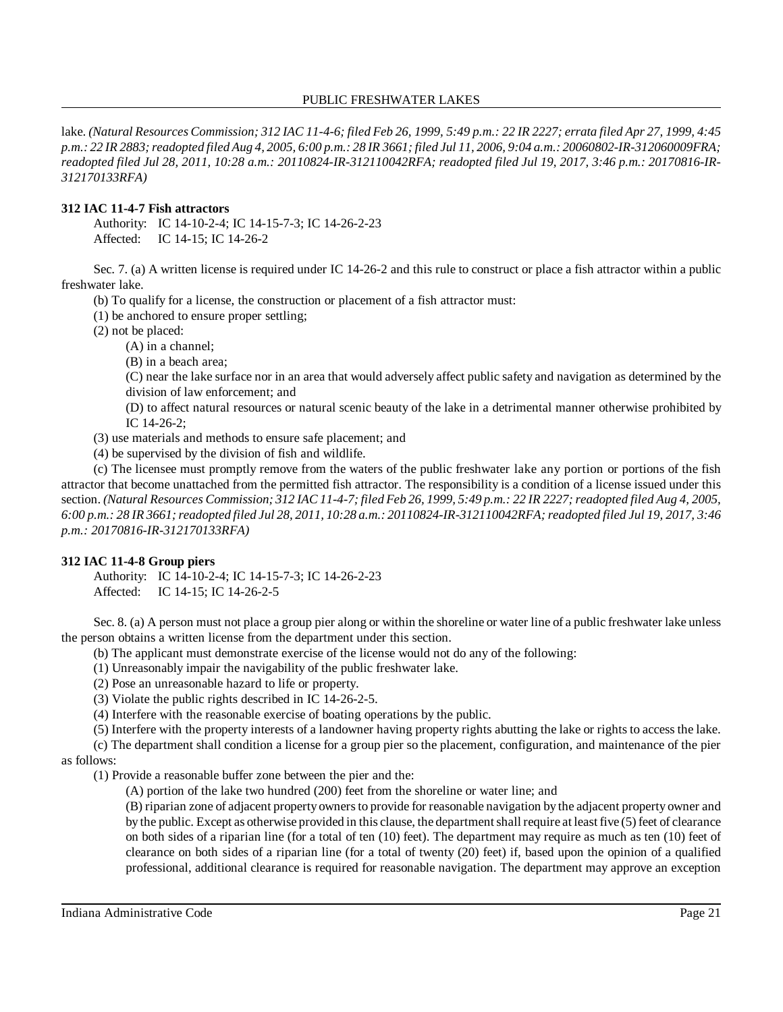lake. (Natural Resources Commission; 312 IAC 11-4-6; filed Feb 26, 1999, 5:49 p.m.: 22 IR 2227; errata filed Apr 27, 1999, 4:45 p.m.: 22 IR 2883; readopted filed Aug 4, 2005, 6:00 p.m.: 28 IR 3661; filed Jul 11, 2006, 9:04 a.m.: 20060802-IR-312060009FRA; *readopted filed Jul 28, 2011, 10:28 a.m.: 20110824-IR-312110042RFA; readopted filed Jul 19, 2017, 3:46 p.m.: 20170816-IR-312170133RFA)*

### **312 IAC 11-4-7 Fish attractors**

Authority: IC 14-10-2-4; IC 14-15-7-3; IC 14-26-2-23 Affected: IC 14-15; IC 14-26-2

Sec. 7. (a) A written license is required under IC 14-26-2 and this rule to construct or place a fish attractor within a public freshwater lake.

(b) To qualify for a license, the construction or placement of a fish attractor must:

(1) be anchored to ensure proper settling;

(2) not be placed:

(A) in a channel;

(B) in a beach area;

(C) near the lake surface nor in an area that would adversely affect public safety and navigation as determined by the division of law enforcement; and

(D) to affect natural resources or natural scenic beauty of the lake in a detrimental manner otherwise prohibited by IC 14-26-2;

(3) use materials and methods to ensure safe placement; and

(4) be supervised by the division of fish and wildlife.

(c) The licensee must promptly remove from the waters of the public freshwater lake any portion or portions of the fish attractor that become unattached from the permitted fish attractor. The responsibility is a condition of a license issued under this section. (Natural Resources Commission; 312 IAC 11-4-7; filed Feb 26, 1999, 5:49 p.m.: 22 IR 2227; readopted filed Aug 4, 2005, 6:00 p.m.: 28 IR 3661; readopted filed Jul 28, 2011, 10:28 a.m.: 20110824-IR-312110042RFA; readopted filed Jul 19, 2017, 3:46 *p.m.: 20170816-IR-312170133RFA)*

### **312 IAC 11-4-8 Group piers**

Authority: IC 14-10-2-4; IC 14-15-7-3; IC 14-26-2-23 Affected: IC 14-15; IC 14-26-2-5

Sec. 8. (a) A person must not place a group pier along or within the shoreline or water line of a public freshwater lake unless the person obtains a written license from the department under this section.

(b) The applicant must demonstrate exercise of the license would not do any of the following:

(1) Unreasonably impair the navigability of the public freshwater lake.

(2) Pose an unreasonable hazard to life or property.

(3) Violate the public rights described in IC 14-26-2-5.

(4) Interfere with the reasonable exercise of boating operations by the public.

(5) Interfere with the property interests of a landowner having property rights abutting the lake or rights to access the lake.

(c) The department shall condition a license for a group pier so the placement, configuration, and maintenance of the pier as follows:

(1) Provide a reasonable buffer zone between the pier and the:

(A) portion of the lake two hundred (200) feet from the shoreline or water line; and

(B) riparian zone of adjacent propertyownersto provide for reasonable navigation by the adjacent property owner and by the public. Except as otherwise provided in this clause, the departmentshall require at least five (5) feet of clearance on both sides of a riparian line (for a total of ten (10) feet). The department may require as much as ten (10) feet of clearance on both sides of a riparian line (for a total of twenty (20) feet) if, based upon the opinion of a qualified professional, additional clearance is required for reasonable navigation. The department may approve an exception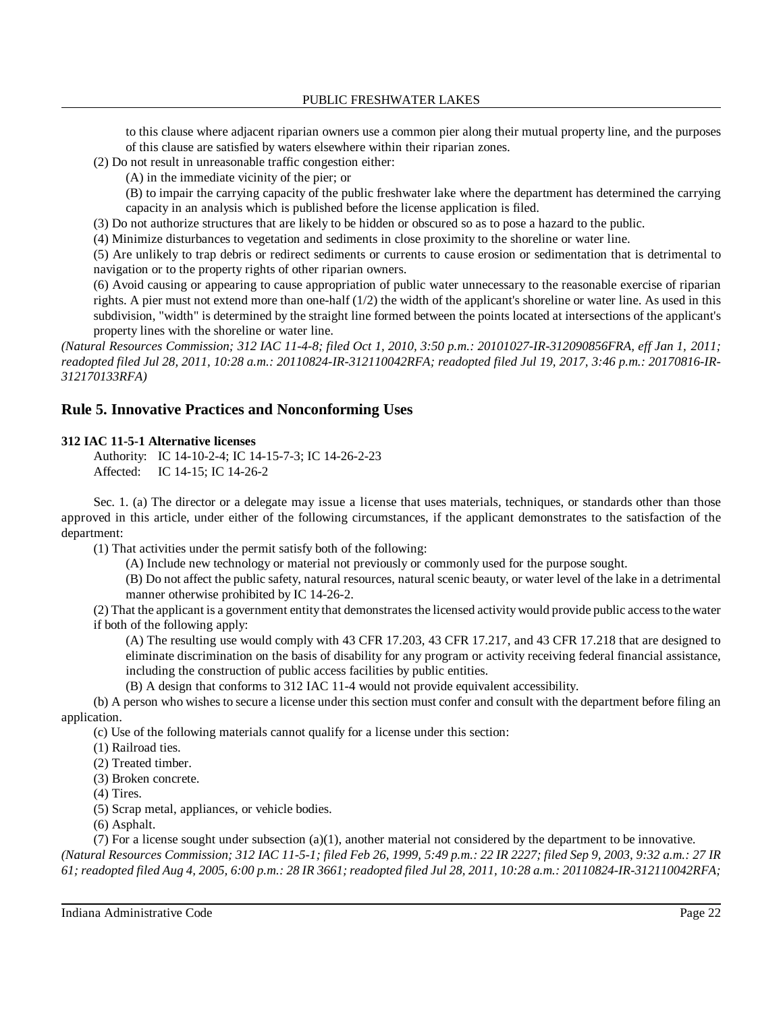to this clause where adjacent riparian owners use a common pier along their mutual property line, and the purposes of this clause are satisfied by waters elsewhere within their riparian zones.

(2) Do not result in unreasonable traffic congestion either:

(A) in the immediate vicinity of the pier; or

(B) to impair the carrying capacity of the public freshwater lake where the department has determined the carrying capacity in an analysis which is published before the license application is filed.

(3) Do not authorize structures that are likely to be hidden or obscured so as to pose a hazard to the public.

(4) Minimize disturbances to vegetation and sediments in close proximity to the shoreline or water line.

(5) Are unlikely to trap debris or redirect sediments or currents to cause erosion or sedimentation that is detrimental to navigation or to the property rights of other riparian owners.

(6) Avoid causing or appearing to cause appropriation of public water unnecessary to the reasonable exercise of riparian rights. A pier must not extend more than one-half (1/2) the width of the applicant's shoreline or water line. As used in this subdivision, "width" is determined by the straight line formed between the points located at intersections of the applicant's property lines with the shoreline or water line.

*(Natural Resources Commission; 312 IAC 11-4-8; filed Oct 1, 2010, 3:50 p.m.: 20101027-IR-312090856FRA, eff Jan 1, 2011; readopted filed Jul 28, 2011, 10:28 a.m.: 20110824-IR-312110042RFA; readopted filed Jul 19, 2017, 3:46 p.m.: 20170816-IR-312170133RFA)*

# **Rule 5. Innovative Practices and Nonconforming Uses**

### **312 IAC 11-5-1 Alternative licenses**

Authority: IC 14-10-2-4; IC 14-15-7-3; IC 14-26-2-23 Affected: IC 14-15; IC 14-26-2

Sec. 1. (a) The director or a delegate may issue a license that uses materials, techniques, or standards other than those approved in this article, under either of the following circumstances, if the applicant demonstrates to the satisfaction of the department:

(1) That activities under the permit satisfy both of the following:

(A) Include new technology or material not previously or commonly used for the purpose sought.

(B) Do not affect the public safety, natural resources, natural scenic beauty, or water level of the lake in a detrimental manner otherwise prohibited by IC 14-26-2.

(2) That the applicant is a government entity that demonstrates the licensed activity would provide public access to the water if both of the following apply:

(A) The resulting use would comply with 43 CFR 17.203, 43 CFR 17.217, and 43 CFR 17.218 that are designed to eliminate discrimination on the basis of disability for any program or activity receiving federal financial assistance, including the construction of public access facilities by public entities.

(B) A design that conforms to 312 IAC 11-4 would not provide equivalent accessibility.

(b) A person who wishes to secure a license under this section must confer and consult with the department before filing an application.

(c) Use of the following materials cannot qualify for a license under this section:

(1) Railroad ties.

(2) Treated timber.

(3) Broken concrete.

(4) Tires.

(5) Scrap metal, appliances, or vehicle bodies.

(6) Asphalt.

(7) For a license sought under subsection  $(a)(1)$ , another material not considered by the department to be innovative.

(Natural Resources Commission; 312 IAC 11-5-1; filed Feb 26, 1999, 5:49 p.m.: 22 IR 2227; filed Sep 9, 2003, 9:32 a.m.: 27 IR 61; readopted filed Aug 4, 2005, 6:00 p.m.: 28 IR 3661; readopted filed Jul 28, 2011, 10:28 a.m.: 20110824-IR-312110042RFA;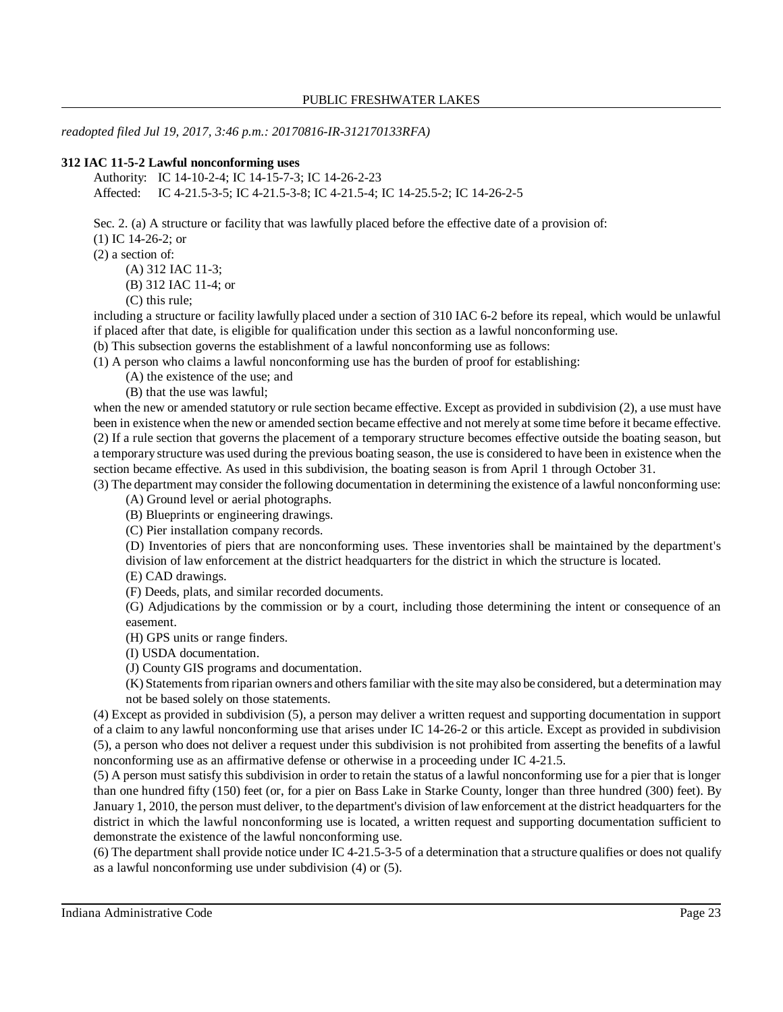*readopted filed Jul 19, 2017, 3:46 p.m.: 20170816-IR-312170133RFA)*

#### **312 IAC 11-5-2 Lawful nonconforming uses**

Authority: IC 14-10-2-4; IC 14-15-7-3; IC 14-26-2-23 Affected: IC 4-21.5-3-5; IC 4-21.5-3-8; IC 4-21.5-4; IC 14-25.5-2; IC 14-26-2-5

Sec. 2. (a) A structure or facility that was lawfully placed before the effective date of a provision of:

(1) IC 14-26-2; or

(2) a section of:

(A) 312 IAC 11-3;

(B) 312 IAC 11-4; or

(C) this rule;

including a structure or facility lawfully placed under a section of 310 IAC 6-2 before its repeal, which would be unlawful if placed after that date, is eligible for qualification under this section as a lawful nonconforming use.

(b) This subsection governs the establishment of a lawful nonconforming use as follows:

(1) A person who claims a lawful nonconforming use has the burden of proof for establishing:

(A) the existence of the use; and

(B) that the use was lawful;

when the new or amended statutory or rule section became effective. Except as provided in subdivision (2), a use must have been in existence when the new or amended section became effective and not merely at some time before it became effective. (2) If a rule section that governs the placement of a temporary structure becomes effective outside the boating season, but a temporary structure was used during the previous boating season, the use is considered to have been in existence when the section became effective. As used in this subdivision, the boating season is from April 1 through October 31.

(3) The department may consider the following documentation in determining the existence of a lawful nonconforming use:

(A) Ground level or aerial photographs.

(B) Blueprints or engineering drawings.

(C) Pier installation company records.

(D) Inventories of piers that are nonconforming uses. These inventories shall be maintained by the department's division of law enforcement at the district headquarters for the district in which the structure is located.

(E) CAD drawings.

(F) Deeds, plats, and similar recorded documents.

(G) Adjudications by the commission or by a court, including those determining the intent or consequence of an easement.

(H) GPS units or range finders.

(I) USDA documentation.

(J) County GIS programs and documentation.

(K) Statementsfrom riparian owners and othersfamiliar with the site may also be considered, but a determination may not be based solely on those statements.

(4) Except as provided in subdivision (5), a person may deliver a written request and supporting documentation in support of a claim to any lawful nonconforming use that arises under IC 14-26-2 or this article. Except as provided in subdivision (5), a person who does not deliver a request under this subdivision is not prohibited from asserting the benefits of a lawful nonconforming use as an affirmative defense or otherwise in a proceeding under IC 4-21.5.

(5) A person must satisfy this subdivision in order to retain the status of a lawful nonconforming use for a pier that is longer than one hundred fifty (150) feet (or, for a pier on Bass Lake in Starke County, longer than three hundred (300) feet). By January 1, 2010, the person must deliver, to the department's division of law enforcement at the district headquarters for the district in which the lawful nonconforming use is located, a written request and supporting documentation sufficient to demonstrate the existence of the lawful nonconforming use.

(6) The department shall provide notice under IC 4-21.5-3-5 of a determination that a structure qualifies or does not qualify as a lawful nonconforming use under subdivision (4) or (5).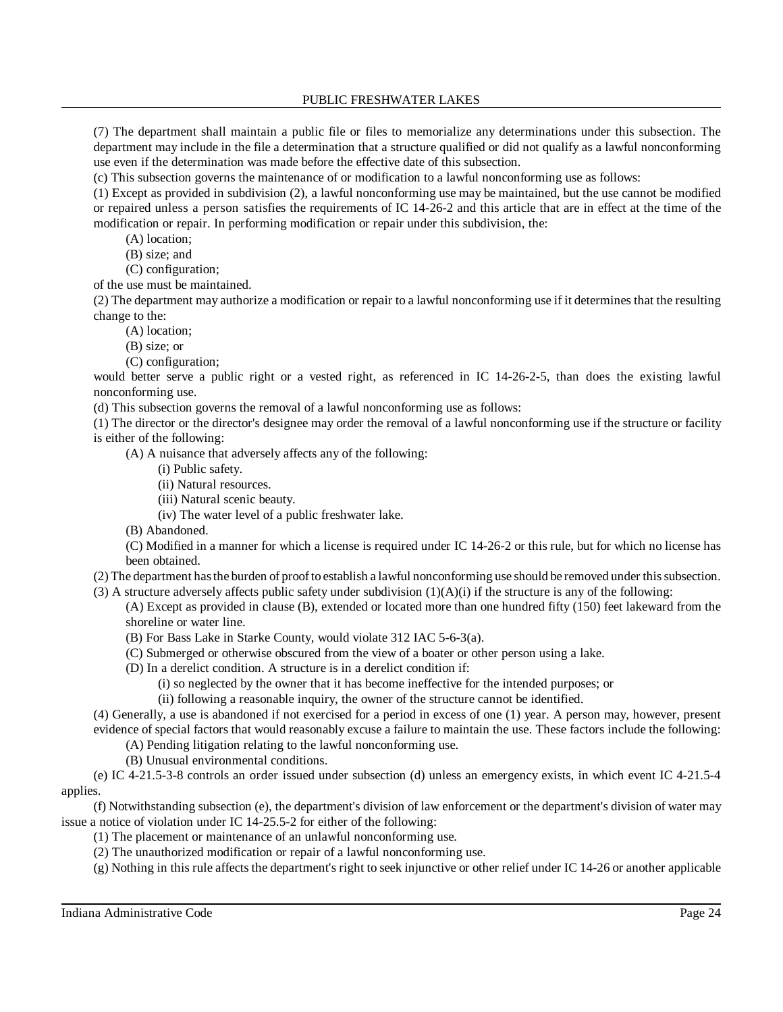(7) The department shall maintain a public file or files to memorialize any determinations under this subsection. The department may include in the file a determination that a structure qualified or did not qualify as a lawful nonconforming use even if the determination was made before the effective date of this subsection.

(c) This subsection governs the maintenance of or modification to a lawful nonconforming use as follows:

(1) Except as provided in subdivision (2), a lawful nonconforming use may be maintained, but the use cannot be modified or repaired unless a person satisfies the requirements of IC 14-26-2 and this article that are in effect at the time of the modification or repair. In performing modification or repair under this subdivision, the:

(A) location;

(B) size; and

(C) configuration;

of the use must be maintained.

(2) The department may authorize a modification or repair to a lawful nonconforming use if it determines that the resulting change to the:

(A) location;

(B) size; or

(C) configuration;

would better serve a public right or a vested right, as referenced in IC 14-26-2-5, than does the existing lawful nonconforming use.

(d) This subsection governs the removal of a lawful nonconforming use as follows:

(1) The director or the director's designee may order the removal of a lawful nonconforming use if the structure or facility is either of the following:

(A) A nuisance that adversely affects any of the following:

- (i) Public safety.
- (ii) Natural resources.
- (iii) Natural scenic beauty.
- (iv) The water level of a public freshwater lake.

(B) Abandoned.

(C) Modified in a manner for which a license is required under IC 14-26-2 or this rule, but for which no license has been obtained.

(2) The department hasthe burden of proofto establish a lawful nonconforming use should be removed under thissubsection.

(3) A structure adversely affects public safety under subdivision  $(1)(A)(i)$  if the structure is any of the following:

(A) Except as provided in clause (B), extended or located more than one hundred fifty (150) feet lakeward from the shoreline or water line.

- (B) For Bass Lake in Starke County, would violate 312 IAC 5-6-3(a).
- (C) Submerged or otherwise obscured from the view of a boater or other person using a lake.
- (D) In a derelict condition. A structure is in a derelict condition if:
	- (i) so neglected by the owner that it has become ineffective for the intended purposes; or

(ii) following a reasonable inquiry, the owner of the structure cannot be identified.

(4) Generally, a use is abandoned if not exercised for a period in excess of one (1) year. A person may, however, present evidence of special factors that would reasonably excuse a failure to maintain the use. These factors include the following:

- (A) Pending litigation relating to the lawful nonconforming use.
- (B) Unusual environmental conditions.

(e) IC 4-21.5-3-8 controls an order issued under subsection (d) unless an emergency exists, in which event IC 4-21.5-4 applies.

(f) Notwithstanding subsection (e), the department's division of law enforcement or the department's division of water may issue a notice of violation under IC 14-25.5-2 for either of the following:

(1) The placement or maintenance of an unlawful nonconforming use.

(2) The unauthorized modification or repair of a lawful nonconforming use.

(g) Nothing in this rule affects the department's right to seek injunctive or other relief under IC 14-26 or another applicable